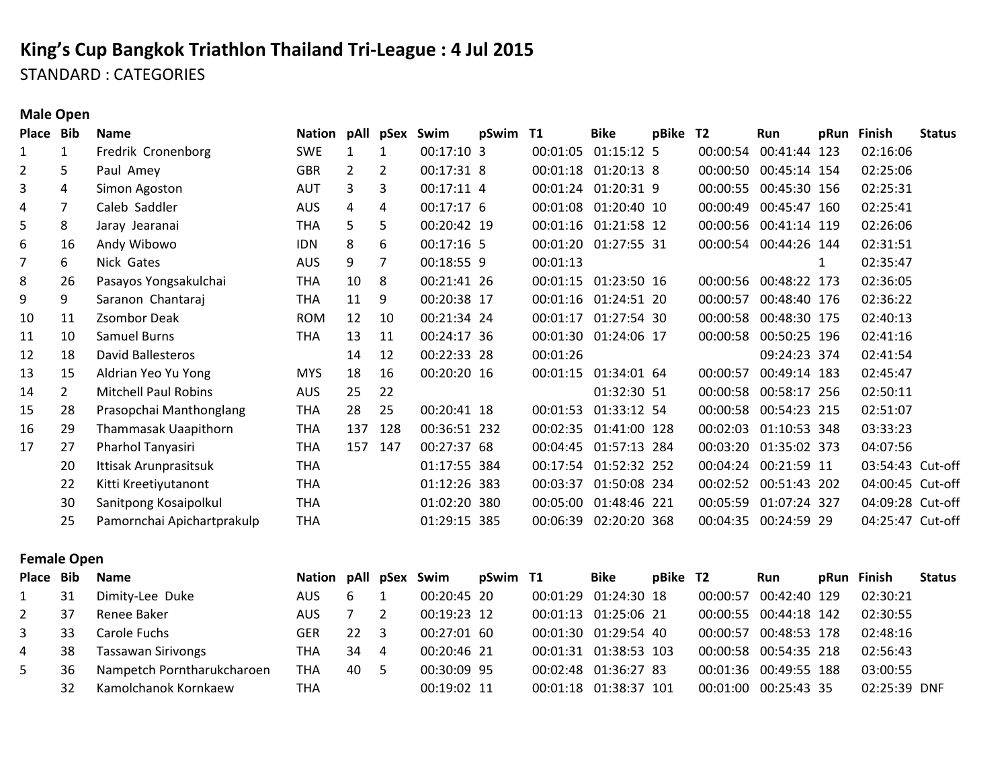# **King's Cup Bangkok Triathlon Thailand Tri-League : 4 Jul 2015** STANDARD : CATEGORIES

**Male Open**

| <b>Bib</b>     | <b>Name</b>                 |            |     |               | Swim         |     |                                                                                                                                                                                                                                                                                                     | <b>Bike</b> | pBike                                                                                                                                                    |                                                                                                                                                                                                                                                                                                       | Run | pRun                                         |                                                                                                                                                                                                                                                                                                                                                                                                                      | <b>Status</b>                                                                                 |
|----------------|-----------------------------|------------|-----|---------------|--------------|-----|-----------------------------------------------------------------------------------------------------------------------------------------------------------------------------------------------------------------------------------------------------------------------------------------------------|-------------|----------------------------------------------------------------------------------------------------------------------------------------------------------|-------------------------------------------------------------------------------------------------------------------------------------------------------------------------------------------------------------------------------------------------------------------------------------------------------|-----|----------------------------------------------|----------------------------------------------------------------------------------------------------------------------------------------------------------------------------------------------------------------------------------------------------------------------------------------------------------------------------------------------------------------------------------------------------------------------|-----------------------------------------------------------------------------------------------|
| $\mathbf{1}$   | Fredrik Cronenborg          | <b>SWE</b> | 1   | 1             |              |     |                                                                                                                                                                                                                                                                                                     |             |                                                                                                                                                          |                                                                                                                                                                                                                                                                                                       |     |                                              | 02:16:06                                                                                                                                                                                                                                                                                                                                                                                                             |                                                                                               |
| 5              | Paul Amey                   | <b>GBR</b> | 2   | 2             |              |     |                                                                                                                                                                                                                                                                                                     |             |                                                                                                                                                          |                                                                                                                                                                                                                                                                                                       |     |                                              | 02:25:06                                                                                                                                                                                                                                                                                                                                                                                                             |                                                                                               |
| 4              | Simon Agoston               | <b>AUT</b> | 3   | 3             |              |     |                                                                                                                                                                                                                                                                                                     |             |                                                                                                                                                          |                                                                                                                                                                                                                                                                                                       |     |                                              | 02:25:31                                                                                                                                                                                                                                                                                                                                                                                                             |                                                                                               |
| 7              | Caleb Saddler               | <b>AUS</b> | 4   | 4             |              |     | 00:01:08                                                                                                                                                                                                                                                                                            |             |                                                                                                                                                          | 00:00:49                                                                                                                                                                                                                                                                                              |     |                                              | 02:25:41                                                                                                                                                                                                                                                                                                                                                                                                             |                                                                                               |
| 8              | Jaray Jearanai              | <b>THA</b> | 5   | 5.            |              |     |                                                                                                                                                                                                                                                                                                     |             |                                                                                                                                                          |                                                                                                                                                                                                                                                                                                       |     |                                              | 02:26:06                                                                                                                                                                                                                                                                                                                                                                                                             |                                                                                               |
| 16             | Andy Wibowo                 | <b>IDN</b> | 8   | 6             |              |     |                                                                                                                                                                                                                                                                                                     |             |                                                                                                                                                          |                                                                                                                                                                                                                                                                                                       |     |                                              | 02:31:51                                                                                                                                                                                                                                                                                                                                                                                                             |                                                                                               |
| 6              | Nick Gates                  | <b>AUS</b> | 9   |               |              |     | 00:01:13                                                                                                                                                                                                                                                                                            |             |                                                                                                                                                          |                                                                                                                                                                                                                                                                                                       |     | 1                                            | 02:35:47                                                                                                                                                                                                                                                                                                                                                                                                             |                                                                                               |
| 26             | Pasayos Yongsakulchai       | <b>THA</b> | 10  | 8             |              |     | 00:01:15                                                                                                                                                                                                                                                                                            |             |                                                                                                                                                          |                                                                                                                                                                                                                                                                                                       |     |                                              | 02:36:05                                                                                                                                                                                                                                                                                                                                                                                                             |                                                                                               |
| 9              | Saranon Chantaraj           | THA        | 11  | 9             |              |     |                                                                                                                                                                                                                                                                                                     |             |                                                                                                                                                          | 00:00:57                                                                                                                                                                                                                                                                                              |     |                                              | 02:36:22                                                                                                                                                                                                                                                                                                                                                                                                             |                                                                                               |
| 11             | Zsombor Deak                | <b>ROM</b> | 12  | 10            |              |     |                                                                                                                                                                                                                                                                                                     |             |                                                                                                                                                          |                                                                                                                                                                                                                                                                                                       |     |                                              | 02:40:13                                                                                                                                                                                                                                                                                                                                                                                                             |                                                                                               |
| 10             | <b>Samuel Burns</b>         | <b>THA</b> | 13  | 11            |              |     |                                                                                                                                                                                                                                                                                                     |             |                                                                                                                                                          |                                                                                                                                                                                                                                                                                                       |     |                                              | 02:41:16                                                                                                                                                                                                                                                                                                                                                                                                             |                                                                                               |
| 18             | David Ballesteros           |            | 14  | 12            |              |     | 00:01:26                                                                                                                                                                                                                                                                                            |             |                                                                                                                                                          |                                                                                                                                                                                                                                                                                                       |     |                                              | 02:41:54                                                                                                                                                                                                                                                                                                                                                                                                             |                                                                                               |
| 15             | Aldrian Yeo Yu Yong         | <b>MYS</b> | 18  | 16            |              |     |                                                                                                                                                                                                                                                                                                     |             |                                                                                                                                                          | 00:00:57                                                                                                                                                                                                                                                                                              |     |                                              | 02:45:47                                                                                                                                                                                                                                                                                                                                                                                                             |                                                                                               |
| $\overline{2}$ | <b>Mitchell Paul Robins</b> | <b>AUS</b> | 25  | 22            |              |     |                                                                                                                                                                                                                                                                                                     |             |                                                                                                                                                          |                                                                                                                                                                                                                                                                                                       |     |                                              | 02:50:11                                                                                                                                                                                                                                                                                                                                                                                                             |                                                                                               |
| 28             | Prasopchai Manthonglang     | <b>THA</b> | 28  | 25            |              |     |                                                                                                                                                                                                                                                                                                     |             |                                                                                                                                                          |                                                                                                                                                                                                                                                                                                       |     |                                              | 02:51:07                                                                                                                                                                                                                                                                                                                                                                                                             |                                                                                               |
| 29             | Thammasak Uaapithorn        | <b>THA</b> | 137 | 128           |              |     |                                                                                                                                                                                                                                                                                                     |             |                                                                                                                                                          | 00:02:03                                                                                                                                                                                                                                                                                              |     |                                              | 03:33:23                                                                                                                                                                                                                                                                                                                                                                                                             |                                                                                               |
| 27             | Pharhol Tanyasiri           | THA        | 157 | 147           |              |     |                                                                                                                                                                                                                                                                                                     |             |                                                                                                                                                          |                                                                                                                                                                                                                                                                                                       |     |                                              | 04:07:56                                                                                                                                                                                                                                                                                                                                                                                                             |                                                                                               |
| 20             | Ittisak Arunprasitsuk       | <b>THA</b> |     |               |              |     |                                                                                                                                                                                                                                                                                                     |             |                                                                                                                                                          |                                                                                                                                                                                                                                                                                                       |     |                                              |                                                                                                                                                                                                                                                                                                                                                                                                                      |                                                                                               |
| 22             | Kitti Kreetiyutanont        | <b>THA</b> |     |               |              |     | 00:03:37                                                                                                                                                                                                                                                                                            |             |                                                                                                                                                          |                                                                                                                                                                                                                                                                                                       |     |                                              |                                                                                                                                                                                                                                                                                                                                                                                                                      |                                                                                               |
| 30             | Sanitpong Kosaipolkul       | THA        |     |               |              |     |                                                                                                                                                                                                                                                                                                     |             |                                                                                                                                                          | 00:05:59                                                                                                                                                                                                                                                                                              |     |                                              |                                                                                                                                                                                                                                                                                                                                                                                                                      |                                                                                               |
| 25             | Pamornchai Apichartprakulp  | <b>THA</b> |     |               |              | 385 | 00:06:39                                                                                                                                                                                                                                                                                            |             |                                                                                                                                                          |                                                                                                                                                                                                                                                                                                       |     |                                              |                                                                                                                                                                                                                                                                                                                                                                                                                      |                                                                                               |
|                |                             |            |     | <b>Nation</b> | pAll<br>pSex |     | 00:17:10 3<br>00:17:31 8<br>00:17:11 4<br>00:17:17 6<br>00:20:42 19<br>00:17:16 5<br>00:18:55 9<br>00:21:41 26<br>00:20:38 17<br>00:21:34 24<br>00:24:17 36<br>00:22:33 28<br>00:20:20 16<br>00:20:41 18<br>00:36:51 232<br>00:27:37 68<br>01:17:55 384<br>01:12:26 383<br>01:02:20 380<br>01:29:15 | pSwim T1    | 00:01:05<br>00:01:18<br>00:01:16<br>00:01:20<br>00:01:16<br>00:01:17<br>00:01:30<br>00:01:15<br>00:01:53<br>00:02:35<br>00:04:45<br>00:17:54<br>00:05:00 | 01:15:12 5<br>01:20:13 8<br>00:01:24 01:20:31 9<br>01:20:40 10<br>01:21:58 12<br>01:27:55 31<br>01:23:50 16<br>01:24:51 20<br>01:27:54 30<br>01:24:06 17<br>01:34:01 64<br>01:32:30 51<br>01:33:12 54<br>01:41:00 128<br>01:57:13 284<br>01:52:32 252<br>01:50:08 234<br>01:48:46 221<br>02:20:20 368 | T2  | 00:00:54<br>00:00:58<br>00:00:58<br>00:02:52 | 00:41:44 123<br>00:00:50 00:45:14 154<br>00:00:55 00:45:30 156<br>00:45:47 160<br>00:00:56 00:41:14 119<br>00:00:54 00:44:26 144<br>00:00:56 00:48:22 173<br>00:48:40 176<br>00:00:58 00:48:30 175<br>00:50:25 196<br>09:24:23 374<br>00:49:14 183<br>00:00:58 00:58:17 256<br>00:54:23 215<br>01:10:53 348<br>00:03:20 01:35:02 373<br>00:04:24 00:21:59 11<br>00:51:43 202<br>01:07:24 327<br>00:04:35 00:24:59 29 | <b>Finish</b><br>03:54:43 Cut-off<br>04:00:45 Cut-off<br>04:09:28 Cut-off<br>04:25:47 Cut-off |

#### **Female Open**

| Place Bib |     | <b>Name</b>                | Nation pAll pSex Swim |      |     |             | pSwim T1 | <b>Bike</b>           | pBike T2 |          | <b>Run</b>            | pRun Finish  | <b>Status</b> |
|-----------|-----|----------------------------|-----------------------|------|-----|-------------|----------|-----------------------|----------|----------|-----------------------|--------------|---------------|
|           | -31 | Dimity-Lee Duke            | AUS.                  | 6    |     | 00:20:45 20 |          | 00:01:29 01:24:30 18  |          | 00:00:57 | 00:42:40 129          | 02:30:21     |               |
| 2         | 37  | Renee Baker                | AUS.                  |      |     | 00:19:23 12 |          | 00:01:13 01:25:06 21  |          |          | 00:00:55 00:44:18 142 | 02:30:55     |               |
| 3         | 33  | Carole Fuchs               | GER                   | 22   | - 3 | 00:27:01 60 |          | 00:01:30 01:29:54 40  |          | 00:00:57 | 00:48:53 178          | 02:48:16     |               |
| 4         | 38  | <b>Tassawan Sirivongs</b>  | THA                   | 34   | 4   | 00:20:46 21 |          | 00:01:31 01:38:53 103 |          |          | 00:00:58 00:54:35 218 | 02:56:43     |               |
| 5         | 36  | Nampetch Porntharukcharoen | THA                   | 40 5 |     | 00:30:09 95 |          | 00:02:48 01:36:27 83  |          |          | 00:01:36 00:49:55 188 | 03:00:55     |               |
|           | 32  | Kamolchanok Kornkaew       | <b>THA</b>            |      |     | 00:19:02 11 |          | 00:01:18 01:38:37 101 |          | 00:01:00 | 00:25:43 35           | 02:25:39 DNF |               |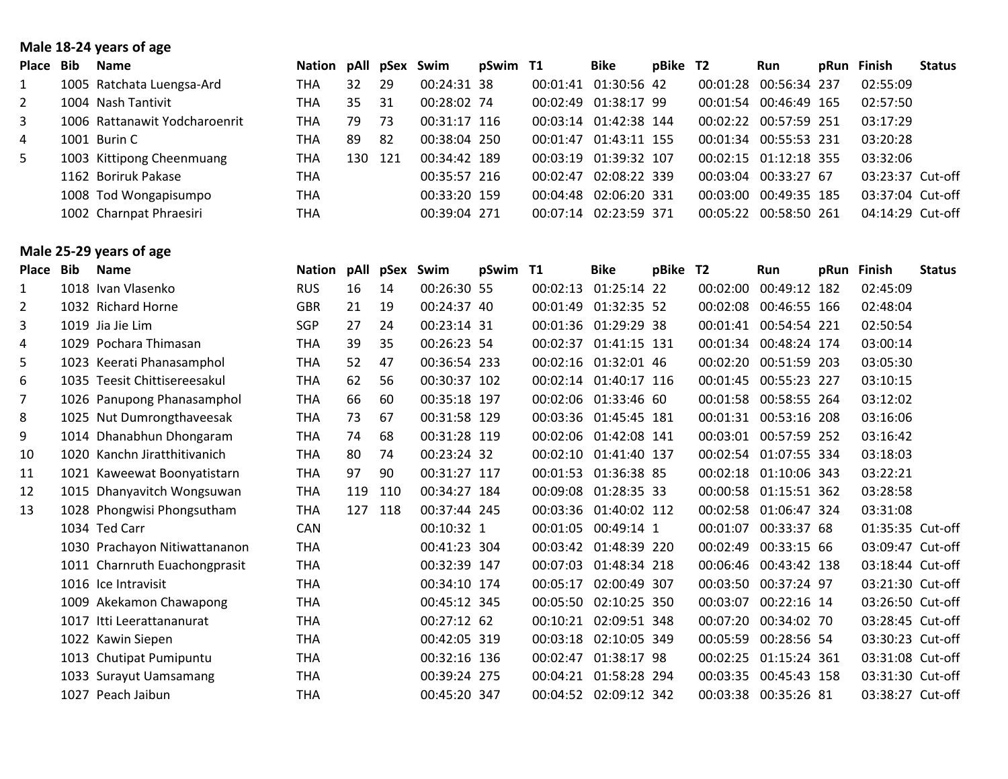### **Male 18-24 years of age**

| Place        | Bib | <b>Name</b>                   | Nation pAll pSex Swim |     |     |              | pSwim T1 | Bike                  | pBike T2 |          | Run                   | pRun | Finish           | <b>Status</b> |
|--------------|-----|-------------------------------|-----------------------|-----|-----|--------------|----------|-----------------------|----------|----------|-----------------------|------|------------------|---------------|
|              |     | 1005 Ratchata Luengsa-Ard     | THA                   | 32  | 29  | 00:24:31 38  |          | 00:01:41 01:30:56 42  |          |          | 00:01:28 00:56:34 237 |      | 02:55:09         |               |
| 2            |     | 1004 Nash Tantivit            | THA                   | 35. | -31 | 00:28:02 74  |          | 00:02:49 01:38:17 99  |          |          | 00:01:54 00:46:49 165 |      | 02:57:50         |               |
| $\mathbf{3}$ |     | 1006 Rattanawit Yodcharoenrit | THA                   | 79  | 73  | 00:31:17 116 |          | 00:03:14 01:42:38 144 |          |          | 00:02:22 00:57:59 251 |      | 03:17:29         |               |
| 4            |     | 1001 Burin C                  | THA                   | 89  | -82 | 00:38:04 250 |          | 00:01:47 01:43:11 155 |          |          | 00:01:34 00:55:53 231 |      | 03:20:28         |               |
| 5            |     | 1003 Kittipong Cheenmuang     | THA                   | 130 | 121 | 00:34:42 189 |          | 00:03:19 01:39:32 107 |          |          | 00:02:15 01:12:18 355 |      | 03:32:06         |               |
|              |     | 1162 Boriruk Pakase           | <b>THA</b>            |     |     | 00:35:57 216 |          | 00:02:47 02:08:22 339 |          |          | 00:03:04 00:33:27 67  |      | 03:23:37 Cut-off |               |
|              |     | 1008 Tod Wongapisumpo         | <b>THA</b>            |     |     | 00:33:20 159 |          | 00:04:48 02:06:20 331 |          |          | 00:03:00 00:49:35 185 |      | 03:37:04 Cut-off |               |
|              |     | 1002 Charnpat Phraesiri       | <b>THA</b>            |     |     | 00:39:04 271 |          | 00:07:14 02:23:59 371 |          | 00:05:22 | 00:58:50 261          |      | 04:14:29 Cut-off |               |

## **Male 25-29 years of age**

| <b>Place</b> | <b>Bib</b> | <b>Name</b>                   | <b>Nation</b> | pAll | pSex | Swim         | pSwim T1 |          | <b>Bike</b>           | pBike T2 |          | <b>Run</b>            | pRun | <b>Finish</b>    | <b>Status</b> |
|--------------|------------|-------------------------------|---------------|------|------|--------------|----------|----------|-----------------------|----------|----------|-----------------------|------|------------------|---------------|
| 1            |            | 1018 Ivan Vlasenko            | <b>RUS</b>    | 16   | 14   | 00:26:30 55  |          | 00:02:13 | 01:25:14 22           |          |          | 00:02:00 00:49:12 182 |      | 02:45:09         |               |
| 2            |            | 1032 Richard Horne            | <b>GBR</b>    | 21   | 19   | 00:24:37 40  |          | 00:01:49 | 01:32:35 52           |          |          | 00:02:08 00:46:55 166 |      | 02:48:04         |               |
| 3            |            | 1019 Jia Jie Lim              | SGP           | 27   | 24   | 00:23:14 31  |          |          | 00:01:36 01:29:29 38  |          | 00:01:41 | 00:54:54 221          |      | 02:50:54         |               |
| 4            |            | 1029 Pochara Thimasan         | THA           | 39   | 35   | 00:26:23 54  |          | 00:02:37 | 01:41:15 131          |          |          | 00:01:34 00:48:24 174 |      | 03:00:14         |               |
| 5            |            | 1023 Keerati Phanasamphol     | THA           | 52   | 47   | 00:36:54 233 |          |          | 00:02:16 01:32:01 46  |          | 00:02:20 | 00:51:59 203          |      | 03:05:30         |               |
| 6            |            | 1035 Teesit Chittisereesakul  | <b>THA</b>    | 62   | 56   | 00:30:37 102 |          |          | 00:02:14 01:40:17 116 |          |          | 00:01:45 00:55:23 227 |      | 03:10:15         |               |
| 7            |            | 1026 Panupong Phanasamphol    | THA           | 66   | 60   | 00:35:18 197 |          |          | 00:02:06 01:33:46 60  |          |          | 00:01:58 00:58:55 264 |      | 03:12:02         |               |
| 8            |            | 1025 Nut Dumrongthaveesak     | THA           | 73   | 67   | 00:31:58 129 |          |          | 00:03:36 01:45:45 181 |          |          | 00:01:31 00:53:16 208 |      | 03:16:06         |               |
| 9            |            | 1014 Dhanabhun Dhongaram      | THA           | 74   | 68   | 00:31:28 119 |          |          | 00:02:06 01:42:08 141 |          |          | 00:03:01 00:57:59 252 |      | 03:16:42         |               |
| 10           |            | 1020 Kanchn Jiratthitivanich  | <b>THA</b>    | 80   | 74   | 00:23:24 32  |          | 00:02:10 | 01:41:40 137          |          |          | 00:02:54 01:07:55 334 |      | 03:18:03         |               |
| 11           |            | 1021 Kaweewat Boonyatistarn   | <b>THA</b>    | 97   | 90   | 00:31:27 117 |          |          | 00:01:53 01:36:38 85  |          |          | 00:02:18 01:10:06 343 |      | 03:22:21         |               |
| 12           |            | 1015 Dhanyavitch Wongsuwan    | <b>THA</b>    | 119  | 110  | 00:34:27 184 |          |          | 00:09:08 01:28:35 33  |          |          | 00:00:58 01:15:51 362 |      | 03:28:58         |               |
| 13           |            | 1028 Phongwisi Phongsutham    | <b>THA</b>    | 127  | 118  | 00:37:44 245 |          |          | 00:03:36 01:40:02 112 |          |          | 00:02:58 01:06:47 324 |      | 03:31:08         |               |
|              |            | 1034 Ted Carr                 | <b>CAN</b>    |      |      | 00:10:32 1   |          |          | 00:01:05 00:49:14 1   |          | 00:01:07 | 00:33:37 68           |      | 01:35:35 Cut-off |               |
|              |            | 1030 Prachayon Nitiwattananon | <b>THA</b>    |      |      | 00:41:23 304 |          |          | 00:03:42 01:48:39 220 |          | 00:02:49 | 00:33:15 66           |      | 03:09:47 Cut-off |               |
|              |            | 1011 Charnruth Euachongprasit | <b>THA</b>    |      |      | 00:32:39 147 |          |          | 00:07:03 01:48:34 218 |          |          | 00:06:46 00:43:42 138 |      | 03:18:44 Cut-off |               |
|              |            | 1016 Ice Intravisit           | <b>THA</b>    |      |      | 00:34:10 174 |          | 00:05:17 | 02:00:49 307          |          |          | 00:03:50 00:37:24 97  |      | 03:21:30 Cut-off |               |
|              |            | 1009 Akekamon Chawapong       | <b>THA</b>    |      |      | 00:45:12 345 |          |          | 00:05:50 02:10:25 350 |          | 00:03:07 | 00:22:16 14           |      | 03:26:50 Cut-off |               |
|              | 1017       | Itti Leerattananurat          | <b>THA</b>    |      |      | 00:27:12 62  |          | 00:10:21 | 02:09:51 348          |          | 00:07:20 | 00:34:02 70           |      | 03:28:45 Cut-off |               |
|              |            | 1022 Kawin Siepen             | <b>THA</b>    |      |      | 00:42:05 319 |          | 00:03:18 | 02:10:05 349          |          | 00:05:59 | 00:28:56 54           |      | 03:30:23 Cut-off |               |
|              |            | 1013 Chutipat Pumipuntu       | <b>THA</b>    |      |      | 00:32:16 136 |          | 00:02:47 | 01:38:17 98           |          |          | 00:02:25 01:15:24 361 |      | 03:31:08 Cut-off |               |
|              |            | 1033 Surayut Uamsamang        | <b>THA</b>    |      |      | 00:39:24 275 |          |          | 00:04:21 01:58:28 294 |          |          | 00:03:35 00:45:43 158 |      | 03:31:30 Cut-off |               |
|              |            | 1027 Peach Jaibun             | <b>THA</b>    |      |      | 00:45:20 347 |          |          | 00:04:52 02:09:12 342 |          |          | 00:03:38 00:35:26 81  |      | 03:38:27 Cut-off |               |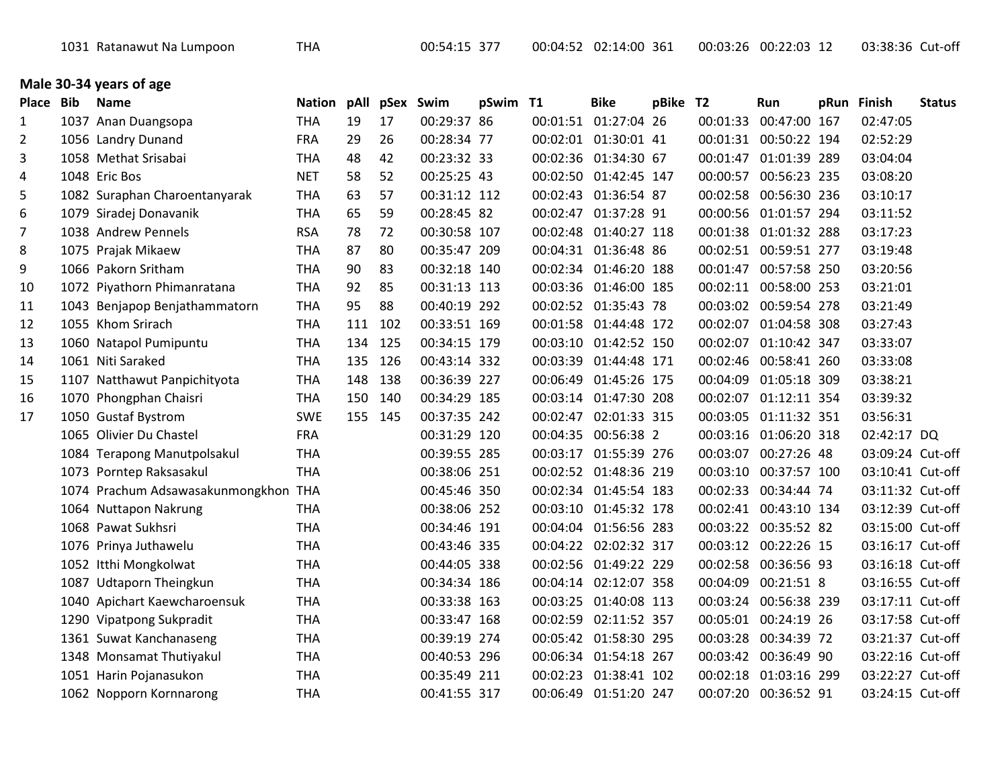|  |  | 1031 Ratanawut Na Lumpoon |  |
|--|--|---------------------------|--|
|--|--|---------------------------|--|

### **Male 30-34 years of age**

| Place          | <b>Bib</b> | <b>Name</b>                          | Nation pAll |     | pSex Swim |              | pSwim T1 | <b>Bike</b>           | pBike T2 |          | Run                   | pRun Finish      | <b>Status</b> |
|----------------|------------|--------------------------------------|-------------|-----|-----------|--------------|----------|-----------------------|----------|----------|-----------------------|------------------|---------------|
| 1              |            | 1037 Anan Duangsopa                  | <b>THA</b>  | 19  | 17        | 00:29:37 86  |          | 00:01:51 01:27:04 26  |          | 00:01:33 | 00:47:00 167          | 02:47:05         |               |
| $\overline{2}$ |            | 1056 Landry Dunand                   | <b>FRA</b>  | 29  | 26        | 00:28:34 77  |          | 00:02:01 01:30:01 41  |          |          | 00:01:31 00:50:22 194 | 02:52:29         |               |
| 3              |            | 1058 Methat Srisabai                 | <b>THA</b>  | 48  | 42        | 00:23:32 33  |          | 00:02:36 01:34:30 67  |          |          | 00:01:47 01:01:39 289 | 03:04:04         |               |
| 4              |            | 1048 Eric Bos                        | <b>NET</b>  | 58  | 52        | 00:25:25 43  |          | 00:02:50 01:42:45 147 |          | 00:00:57 | 00:56:23 235          | 03:08:20         |               |
| 5              |            | 1082 Suraphan Charoentanyarak        | <b>THA</b>  | 63  | 57        | 00:31:12 112 |          | 00:02:43 01:36:54 87  |          | 00:02:58 | 00:56:30 236          | 03:10:17         |               |
| 6              |            | 1079 Siradej Donavanik               | <b>THA</b>  | 65  | 59        | 00:28:45 82  |          | 00:02:47 01:37:28 91  |          | 00:00:56 | 01:01:57 294          | 03:11:52         |               |
| $\overline{7}$ |            | 1038 Andrew Pennels                  | <b>RSA</b>  | 78  | 72        | 00:30:58 107 |          | 00:02:48 01:40:27 118 |          | 00:01:38 | 01:01:32 288          | 03:17:23         |               |
| 8              |            | 1075 Prajak Mikaew                   | <b>THA</b>  | 87  | 80        | 00:35:47 209 |          | 00:04:31 01:36:48 86  |          |          | 00:02:51 00:59:51 277 | 03:19:48         |               |
| 9              |            | 1066 Pakorn Sritham                  | <b>THA</b>  | 90  | 83        | 00:32:18 140 |          | 00:02:34 01:46:20 188 |          |          | 00:01:47 00:57:58 250 | 03:20:56         |               |
| 10             |            | 1072 Piyathorn Phimanratana          | <b>THA</b>  | 92  | 85        | 00:31:13 113 |          | 00:03:36 01:46:00 185 |          | 00:02:11 | 00:58:00 253          | 03:21:01         |               |
| 11             |            | 1043 Benjapop Benjathammatorn        | <b>THA</b>  | 95  | 88        | 00:40:19 292 |          | 00:02:52 01:35:43 78  |          |          | 00:03:02 00:59:54 278 | 03:21:49         |               |
| 12             |            | 1055 Khom Srirach                    | <b>THA</b>  | 111 | 102       | 00:33:51 169 |          | 00:01:58 01:44:48 172 |          | 00:02:07 | 01:04:58 308          | 03:27:43         |               |
| 13             |            | 1060 Natapol Pumipuntu               | <b>THA</b>  | 134 | 125       | 00:34:15 179 |          | 00:03:10 01:42:52 150 |          | 00:02:07 | 01:10:42 347          | 03:33:07         |               |
| 14             |            | 1061 Niti Saraked                    | <b>THA</b>  | 135 | 126       | 00:43:14 332 |          | 00:03:39 01:44:48 171 |          | 00:02:46 | 00:58:41 260          | 03:33:08         |               |
| 15             |            | 1107 Natthawut Panpichityota         | <b>THA</b>  | 148 | 138       | 00:36:39 227 |          | 00:06:49 01:45:26 175 |          | 00:04:09 | 01:05:18 309          | 03:38:21         |               |
| 16             |            | 1070 Phongphan Chaisri               | <b>THA</b>  | 150 | 140       | 00:34:29 185 |          | 00:03:14 01:47:30 208 |          |          | 00:02:07 01:12:11 354 | 03:39:32         |               |
| 17             |            | 1050 Gustaf Bystrom                  | <b>SWE</b>  | 155 | 145       | 00:37:35 242 |          | 00:02:47 02:01:33 315 |          |          | 00:03:05 01:11:32 351 | 03:56:31         |               |
|                |            | 1065 Olivier Du Chastel              | <b>FRA</b>  |     |           | 00:31:29 120 |          | 00:04:35 00:56:38 2   |          |          | 00:03:16 01:06:20 318 | 02:42:17 DQ      |               |
|                |            | 1084 Terapong Manutpolsakul          | <b>THA</b>  |     |           | 00:39:55 285 |          | 00:03:17 01:55:39 276 |          | 00:03:07 | 00:27:26 48           | 03:09:24 Cut-off |               |
|                |            | 1073 Porntep Raksasakul              | <b>THA</b>  |     |           | 00:38:06 251 |          | 00:02:52 01:48:36 219 |          | 00:03:10 | 00:37:57 100          | 03:10:41 Cut-off |               |
|                |            | 1074 Prachum Adsawasakunmongkhon THA |             |     |           | 00:45:46 350 |          | 00:02:34 01:45:54 183 |          | 00:02:33 | 00:34:44 74           | 03:11:32 Cut-off |               |
|                |            | 1064 Nuttapon Nakrung                | <b>THA</b>  |     |           | 00:38:06 252 |          | 00:03:10 01:45:32 178 |          |          | 00:02:41 00:43:10 134 | 03:12:39 Cut-off |               |
|                |            | 1068 Pawat Sukhsri                   | <b>THA</b>  |     |           | 00:34:46 191 |          | 00:04:04 01:56:56 283 |          | 00:03:22 | 00:35:52 82           | 03:15:00 Cut-off |               |
|                |            | 1076 Prinya Juthawelu                | <b>THA</b>  |     |           | 00:43:46 335 |          | 00:04:22 02:02:32 317 |          | 00:03:12 | 00:22:26 15           | 03:16:17 Cut-off |               |
|                |            | 1052 Itthi Mongkolwat                | <b>THA</b>  |     |           | 00:44:05 338 |          | 00:02:56 01:49:22 229 |          | 00:02:58 | 00:36:56 93           | 03:16:18 Cut-off |               |
|                |            | 1087 Udtaporn Theingkun              | <b>THA</b>  |     |           | 00:34:34 186 |          | 00:04:14 02:12:07 358 |          | 00:04:09 | 00:21:51 8            | 03:16:55 Cut-off |               |
|                |            | 1040 Apichart Kaewcharoensuk         | <b>THA</b>  |     |           | 00:33:38 163 |          | 00:03:25 01:40:08 113 |          | 00:03:24 | 00:56:38 239          | 03:17:11 Cut-off |               |
|                |            | 1290 Vipatpong Sukpradit             | <b>THA</b>  |     |           | 00:33:47 168 |          | 00:02:59 02:11:52 357 |          | 00:05:01 | 00:24:19 26           | 03:17:58 Cut-off |               |
|                |            | 1361 Suwat Kanchanaseng              | <b>THA</b>  |     |           | 00:39:19 274 |          | 00:05:42 01:58:30 295 |          | 00:03:28 | 00:34:39 72           | 03:21:37 Cut-off |               |
|                |            | 1348 Monsamat Thutiyakul             | <b>THA</b>  |     |           | 00:40:53 296 |          | 00:06:34 01:54:18 267 |          | 00:03:42 | 00:36:49 90           | 03:22:16 Cut-off |               |
|                |            | 1051 Harin Pojanasukon               | <b>THA</b>  |     |           | 00:35:49 211 |          | 00:02:23 01:38:41 102 |          | 00:02:18 | 01:03:16 299          | 03:22:27 Cut-off |               |
|                |            | 1062 Nopporn Kornnarong              | <b>THA</b>  |     |           | 00:41:55 317 |          | 00:06:49 01:51:20 247 |          |          | 00:07:20 00:36:52 91  | 03:24:15 Cut-off |               |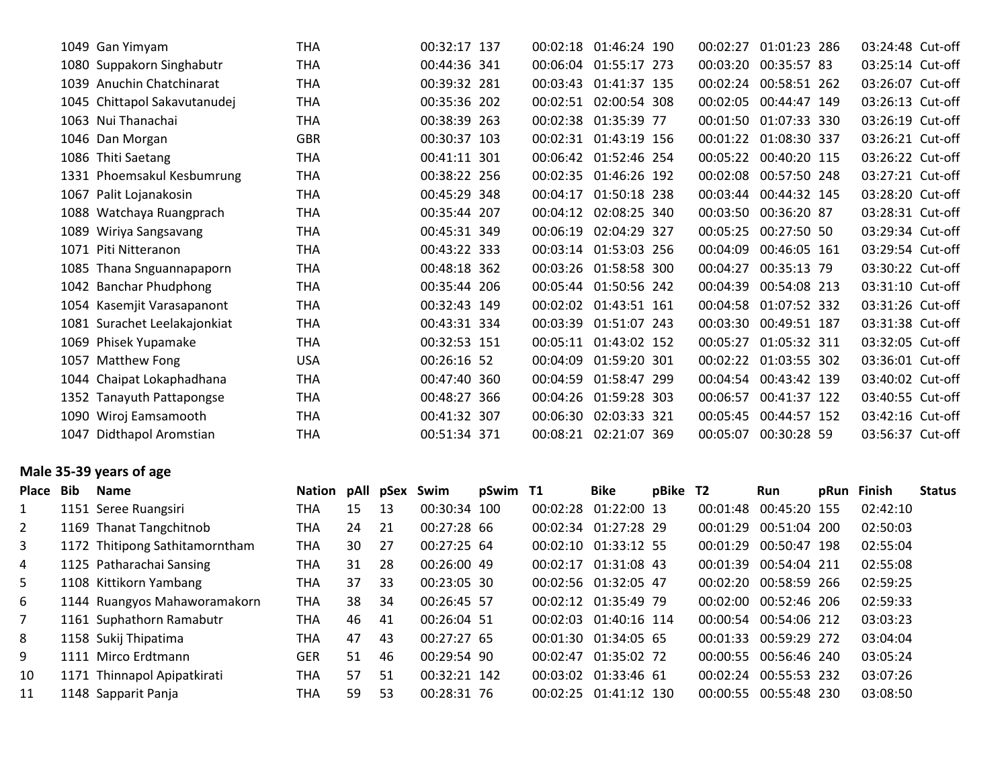|           | 1049 Gan Yimyam                | <b>THA</b>  |    |    | 00:32:17 137 |          | 00:02:18 01:46:24 190 |          |          | 00:02:27 01:01:23 286 | 03:24:48 Cut-off |               |
|-----------|--------------------------------|-------------|----|----|--------------|----------|-----------------------|----------|----------|-----------------------|------------------|---------------|
|           | 1080 Suppakorn Singhabutr      | <b>THA</b>  |    |    | 00:44:36 341 |          | 00:06:04 01:55:17 273 |          | 00:03:20 | 00:35:57 83           | 03:25:14 Cut-off |               |
|           | 1039 Anuchin Chatchinarat      | <b>THA</b>  |    |    | 00:39:32 281 |          | 00:03:43 01:41:37 135 |          |          | 00:02:24 00:58:51 262 | 03:26:07 Cut-off |               |
|           | 1045 Chittapol Sakavutanudej   | <b>THA</b>  |    |    | 00:35:36 202 |          | 00:02:51 02:00:54 308 |          |          | 00:02:05 00:44:47 149 | 03:26:13 Cut-off |               |
|           | 1063 Nui Thanachai             | <b>THA</b>  |    |    | 00:38:39 263 |          | 00:02:38 01:35:39 77  |          |          | 00:01:50 01:07:33 330 | 03:26:19 Cut-off |               |
|           | 1046 Dan Morgan                | <b>GBR</b>  |    |    | 00:30:37 103 |          | 00:02:31 01:43:19 156 |          |          | 00:01:22 01:08:30 337 | 03:26:21 Cut-off |               |
|           | 1086 Thiti Saetang             | <b>THA</b>  |    |    | 00:41:11 301 |          | 00:06:42 01:52:46 254 |          | 00:05:22 | 00:40:20 115          | 03:26:22 Cut-off |               |
|           | 1331 Phoemsakul Kesbumrung     | <b>THA</b>  |    |    | 00:38:22 256 |          | 00:02:35 01:46:26 192 |          |          | 00:02:08 00:57:50 248 | 03:27:21 Cut-off |               |
|           | 1067 Palit Lojanakosin         | <b>THA</b>  |    |    | 00:45:29 348 |          | 00:04:17 01:50:18 238 |          |          | 00:03:44 00:44:32 145 | 03:28:20 Cut-off |               |
|           | 1088 Watchaya Ruangprach       | <b>THA</b>  |    |    | 00:35:44 207 |          | 00:04:12 02:08:25 340 |          | 00:03:50 | 00:36:20 87           | 03:28:31 Cut-off |               |
|           | 1089 Wiriya Sangsavang         | <b>THA</b>  |    |    | 00:45:31 349 |          | 00:06:19 02:04:29 327 |          | 00:05:25 | 00:27:50 50           | 03:29:34 Cut-off |               |
|           | 1071 Piti Nitteranon           | <b>THA</b>  |    |    | 00:43:22 333 |          | 00:03:14 01:53:03 256 |          | 00:04:09 | 00:46:05 161          | 03:29:54 Cut-off |               |
|           | 1085 Thana Snguannapaporn      | <b>THA</b>  |    |    | 00:48:18 362 |          | 00:03:26 01:58:58 300 |          | 00:04:27 | 00:35:13 79           | 03:30:22 Cut-off |               |
|           | 1042 Banchar Phudphong         | <b>THA</b>  |    |    | 00:35:44 206 |          | 00:05:44 01:50:56 242 |          | 00:04:39 | 00:54:08 213          | 03:31:10 Cut-off |               |
|           | 1054 Kasemjit Varasapanont     | <b>THA</b>  |    |    | 00:32:43 149 |          | 00:02:02 01:43:51 161 |          | 00:04:58 | 01:07:52 332          | 03:31:26 Cut-off |               |
|           | 1081 Surachet Leelakajonkiat   | <b>THA</b>  |    |    | 00:43:31 334 |          | 00:03:39 01:51:07 243 |          | 00:03:30 | 00:49:51 187          | 03:31:38 Cut-off |               |
|           | 1069 Phisek Yupamake           | <b>THA</b>  |    |    | 00:32:53 151 |          | 00:05:11 01:43:02 152 |          | 00:05:27 | 01:05:32 311          | 03:32:05 Cut-off |               |
|           | 1057 Matthew Fong              | <b>USA</b>  |    |    | 00:26:16 52  |          | 00:04:09 01:59:20 301 |          |          | 00:02:22 01:03:55 302 | 03:36:01 Cut-off |               |
|           | 1044 Chaipat Lokaphadhana      | <b>THA</b>  |    |    | 00:47:40 360 |          | 00:04:59 01:58:47 299 |          |          | 00:04:54 00:43:42 139 | 03:40:02 Cut-off |               |
|           | 1352 Tanayuth Pattapongse      | <b>THA</b>  |    |    | 00:48:27 366 |          | 00:04:26 01:59:28 303 |          | 00:06:57 | 00:41:37 122          | 03:40:55 Cut-off |               |
|           | 1090 Wiroj Eamsamooth          | <b>THA</b>  |    |    | 00:41:32 307 |          | 00:06:30 02:03:33 321 |          |          | 00:05:45 00:44:57 152 | 03:42:16 Cut-off |               |
|           | 1047 Didthapol Aromstian       | <b>THA</b>  |    |    | 00:51:34 371 |          | 00:08:21 02:21:07 369 |          |          | 00:05:07 00:30:28 59  | 03:56:37 Cut-off |               |
|           | Male 35-39 years of age        |             |    |    |              |          |                       |          |          |                       |                  |               |
| Place Bib | <b>Name</b>                    | Nation pAll |    |    | pSex Swim    | pSwim T1 | <b>Bike</b>           | pBike T2 |          | Run                   | pRun Finish      | <b>Status</b> |
| 1         | 1151 Seree Ruangsiri           | <b>THA</b>  | 15 | 13 | 00:30:34 100 |          | 00:02:28 01:22:00 13  |          | 00:01:48 | 00:45:20 155          | 02:42:10         |               |
| 2         | 1169 Thanat Tangchitnob        | THA         | 24 | 21 | 00:27:28 66  |          | 00:02:34 01:27:28 29  |          | 00:01:29 | 00:51:04 200          | 02:50:03         |               |
| 3         | 1172 Thitipong Sathitamorntham | <b>THA</b>  | 30 | 27 | 00:27:25 64  |          | 00:02:10 01:33:12 55  |          | 00:01:29 | 00:50:47 198          | 02:55:04         |               |
| 4         | 1125 Patharachai Sansing       | <b>THA</b>  | 31 | 28 | 00:26:00 49  |          | 00:02:17 01:31:08 43  |          | 00:01:39 | 00:54:04 211          | 02:55:08         |               |
| 5         | 1108 Kittikorn Yambang         | <b>THA</b>  | 37 | 33 | 00:23:05 30  |          | 00:02:56 01:32:05 47  |          | 00:02:20 | 00:58:59 266          | 02:59:25         |               |

| 4           | 1125 Patharachai Sansing     | THA        | 31  | -28 | 00:26:00 49   |  | 00:02:17 01:31:08 43  | 00:01:39 00:54:04 211 |              | 02:55:08 |
|-------------|------------------------------|------------|-----|-----|---------------|--|-----------------------|-----------------------|--------------|----------|
| 5.          | 1108 Kittikorn Yambang       | THA        | 37  | -33 | 00:23:05 30   |  | 00:02:56 01:32:05 47  | 00:02:20 00:58:59 266 |              | 02:59:25 |
| 6           | 1144 Ruangyos Mahaworamakorn | THA        | 38  | -34 | 00:26:45 57   |  | 00:02:12 01:35:49 79  | 00:02:00 00:52:46 206 |              | 02:59:33 |
| $7^{\circ}$ | 1161 Suphathorn Ramabutr     | THA        | 46  | -41 | 00:26:04 51   |  | 00:02:03 01:40:16 114 | 00:00:54 00:54:06 212 |              | 03:03:23 |
| 8           | 1158 Sukij Thipatima         | THA        | 47  | -43 | $00:27:27$ 65 |  | 00:01:30 01:34:05 65  | 00:01:33 00:59:29 272 |              | 03:04:04 |
| 9           | 1111 Mirco Erdtmann          | <b>GER</b> | 51  | 46  | 00:29:54 90   |  | 00:02:47 01:35:02 72  | 00:00:55 00:56:46 240 |              | 03:05:24 |
| 10          | 1171 Thinnapol Apipatkirati  | THA        | 57  | -51 | 00:32:21 142  |  | 00:03:02 01:33:46 61  | 00:02:24              | 00:55:53 232 | 03:07:26 |
| 11          | 1148 Sapparit Panja          | THA        | 59. | -53 | 00:28:31 76   |  | 00:02:25 01:41:12 130 | 00:00:55 00:55:48 230 |              | 03:08:50 |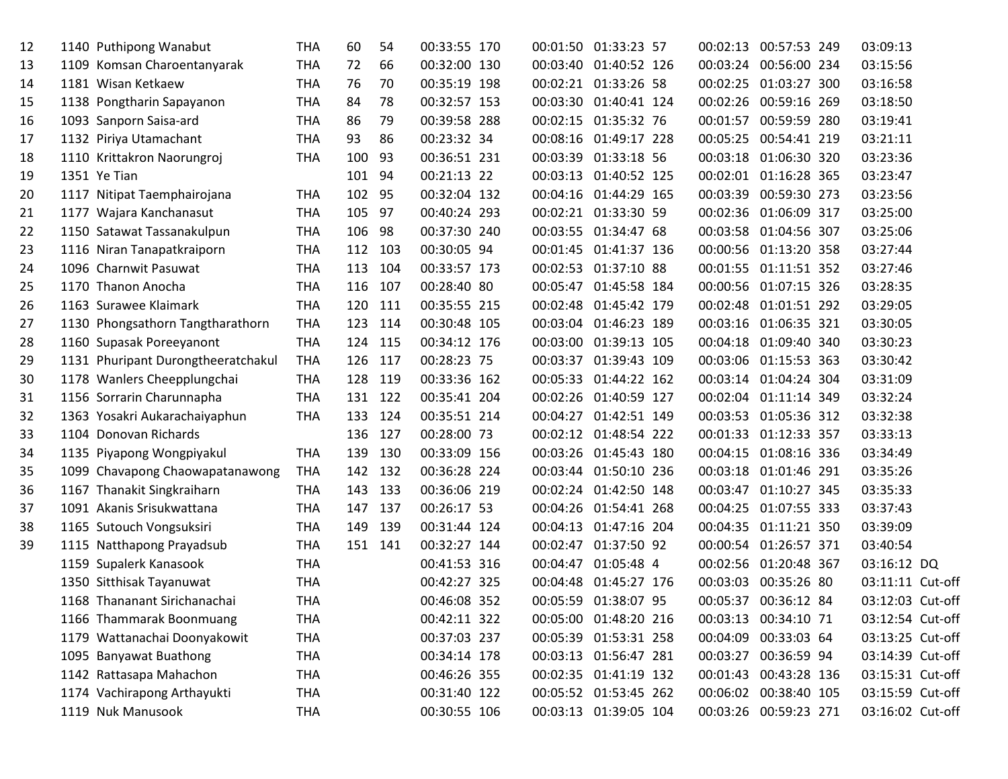| 12 | 1140 Puthipong Wanabut             | <b>THA</b> | 60      | 54  | 00:33:55 170 |          | 00:01:50 01:33:23 57  | 00:02:13 | 00:57:53 249          | 03:09:13         |  |
|----|------------------------------------|------------|---------|-----|--------------|----------|-----------------------|----------|-----------------------|------------------|--|
| 13 | 1109 Komsan Charoentanyarak        | <b>THA</b> | 72      | 66  | 00:32:00 130 |          | 00:03:40 01:40:52 126 | 00:03:24 | 00:56:00 234          | 03:15:56         |  |
| 14 | 1181 Wisan Ketkaew                 | THA        | 76      | 70  | 00:35:19 198 |          | 00:02:21 01:33:26 58  | 00:02:25 | 01:03:27 300          | 03:16:58         |  |
| 15 | 1138 Pongtharin Sapayanon          | <b>THA</b> | 84      | 78  | 00:32:57 153 |          | 00:03:30 01:40:41 124 | 00:02:26 | 00:59:16 269          | 03:18:50         |  |
| 16 | 1093 Sanporn Saisa-ard             | <b>THA</b> | 86      | 79  | 00:39:58 288 |          | 00:02:15 01:35:32 76  | 00:01:57 | 00:59:59 280          | 03:19:41         |  |
| 17 | 1132 Piriya Utamachant             | <b>THA</b> | 93      | 86  | 00:23:32 34  |          | 00:08:16 01:49:17 228 |          | 00:05:25 00:54:41 219 | 03:21:11         |  |
| 18 | 1110 Krittakron Naorungroj         | <b>THA</b> | 100     | 93  | 00:36:51 231 |          | 00:03:39 01:33:18 56  |          | 00:03:18 01:06:30 320 | 03:23:36         |  |
| 19 | 1351 Ye Tian                       |            | 101     | 94  | 00:21:13 22  |          | 00:03:13 01:40:52 125 |          | 00:02:01 01:16:28 365 | 03:23:47         |  |
| 20 | 1117 Nitipat Taemphairojana        | <b>THA</b> | 102     | 95  | 00:32:04 132 |          | 00:04:16 01:44:29 165 | 00:03:39 | 00:59:30 273          | 03:23:56         |  |
| 21 | 1177 Wajara Kanchanasut            | THA        | 105     | 97  | 00:40:24 293 |          | 00:02:21 01:33:30 59  |          | 00:02:36 01:06:09 317 | 03:25:00         |  |
| 22 | 1150 Satawat Tassanakulpun         | <b>THA</b> | 106     | 98  | 00:37:30 240 |          | 00:03:55 01:34:47 68  |          | 00:03:58 01:04:56 307 | 03:25:06         |  |
| 23 | 1116 Niran Tanapatkraiporn         | THA        | 112     | 103 | 00:30:05 94  |          | 00:01:45 01:41:37 136 |          | 00:00:56 01:13:20 358 | 03:27:44         |  |
| 24 | 1096 Charnwit Pasuwat              | THA        | 113     | 104 | 00:33:57 173 |          | 00:02:53 01:37:10 88  |          | 00:01:55 01:11:51 352 | 03:27:46         |  |
| 25 | 1170 Thanon Anocha                 | <b>THA</b> | 116     | 107 | 00:28:40 80  |          | 00:05:47 01:45:58 184 |          | 00:00:56 01:07:15 326 | 03:28:35         |  |
| 26 | 1163 Surawee Klaimark              | <b>THA</b> | 120     | 111 | 00:35:55 215 |          | 00:02:48 01:45:42 179 |          | 00:02:48 01:01:51 292 | 03:29:05         |  |
| 27 | 1130 Phongsathorn Tangtharathorn   | <b>THA</b> | 123     | 114 | 00:30:48 105 |          | 00:03:04 01:46:23 189 |          | 00:03:16 01:06:35 321 | 03:30:05         |  |
| 28 | 1160 Supasak Poreeyanont           | <b>THA</b> | 124     | 115 | 00:34:12 176 |          | 00:03:00 01:39:13 105 | 00:04:18 | 01:09:40 340          | 03:30:23         |  |
| 29 | 1131 Phuripant Durongtheeratchakul | THA        | 126     | 117 | 00:28:23 75  |          | 00:03:37 01:39:43 109 | 00:03:06 | 01:15:53 363          | 03:30:42         |  |
| 30 | 1178 Wanlers Cheepplungchai        | <b>THA</b> | 128     | 119 | 00:33:36 162 |          | 00:05:33 01:44:22 162 |          | 00:03:14 01:04:24 304 | 03:31:09         |  |
| 31 | 1156 Sorrarin Charunnapha          | <b>THA</b> | 131 122 |     | 00:35:41 204 |          | 00:02:26 01:40:59 127 | 00:02:04 | 01:11:14 349          | 03:32:24         |  |
| 32 | 1363 Yosakri Aukarachaiyaphun      | <b>THA</b> | 133     | 124 | 00:35:51 214 |          | 00:04:27 01:42:51 149 | 00:03:53 | 01:05:36 312          | 03:32:38         |  |
| 33 | 1104 Donovan Richards              |            | 136     | 127 | 00:28:00 73  |          | 00:02:12 01:48:54 222 | 00:01:33 | 01:12:33 357          | 03:33:13         |  |
| 34 | 1135 Piyapong Wongpiyakul          | <b>THA</b> | 139     | 130 | 00:33:09 156 |          | 00:03:26 01:45:43 180 | 00:04:15 | 01:08:16 336          | 03:34:49         |  |
| 35 | 1099 Chavapong Chaowapatanawong    | <b>THA</b> | 142     | 132 | 00:36:28 224 |          | 00:03:44 01:50:10 236 |          | 00:03:18 01:01:46 291 | 03:35:26         |  |
| 36 | 1167 Thanakit Singkraiharn         | THA        | 143     | 133 | 00:36:06 219 |          | 00:02:24 01:42:50 148 |          | 00:03:47 01:10:27 345 | 03:35:33         |  |
| 37 | 1091 Akanis Srisukwattana          | <b>THA</b> | 147     | 137 | 00:26:17 53  |          | 00:04:26 01:54:41 268 | 00:04:25 | 01:07:55 333          | 03:37:43         |  |
| 38 | 1165 Sutouch Vongsuksiri           | <b>THA</b> | 149     | 139 | 00:31:44 124 |          | 00:04:13 01:47:16 204 | 00:04:35 | 01:11:21 350          | 03:39:09         |  |
| 39 | 1115 Natthapong Prayadsub          | <b>THA</b> | 151     | 141 | 00:32:27 144 |          | 00:02:47 01:37:50 92  | 00:00:54 | 01:26:57 371          | 03:40:54         |  |
|    | 1159 Supalerk Kanasook             | <b>THA</b> |         |     | 00:41:53 316 | 00:04:47 | 01:05:48 4            |          | 00:02:56 01:20:48 367 | 03:16:12 DQ      |  |
|    | 1350 Sitthisak Tayanuwat           | <b>THA</b> |         |     | 00:42:27 325 |          | 00:04:48 01:45:27 176 | 00:03:03 | 00:35:26 80           | 03:11:11 Cut-off |  |
|    | 1168 Thananant Sirichanachai       | <b>THA</b> |         |     | 00:46:08 352 |          | 00:05:59 01:38:07 95  | 00:05:37 | 00:36:12 84           | 03:12:03 Cut-off |  |
|    | 1166 Thammarak Boonmuang           | <b>THA</b> |         |     | 00:42:11 322 |          | 00:05:00 01:48:20 216 |          | 00:03:13 00:34:10 71  | 03:12:54 Cut-off |  |
|    | 1179 Wattanachai Doonyakowit       | <b>THA</b> |         |     | 00:37:03 237 |          | 00:05:39 01:53:31 258 |          | 00:04:09 00:33:03 64  | 03:13:25 Cut-off |  |
|    | 1095 Banyawat Buathong             | <b>THA</b> |         |     | 00:34:14 178 |          | 00:03:13 01:56:47 281 |          | 00:03:27 00:36:59 94  | 03:14:39 Cut-off |  |
|    | 1142 Rattasapa Mahachon            | <b>THA</b> |         |     | 00:46:26 355 |          | 00:02:35 01:41:19 132 |          | 00:01:43 00:43:28 136 | 03:15:31 Cut-off |  |
|    | 1174 Vachirapong Arthayukti        | <b>THA</b> |         |     | 00:31:40 122 |          | 00:05:52 01:53:45 262 |          | 00:06:02 00:38:40 105 | 03:15:59 Cut-off |  |
|    | 1119 Nuk Manusook                  | <b>THA</b> |         |     | 00:30:55 106 |          | 00:03:13 01:39:05 104 |          | 00:03:26 00:59:23 271 | 03:16:02 Cut-off |  |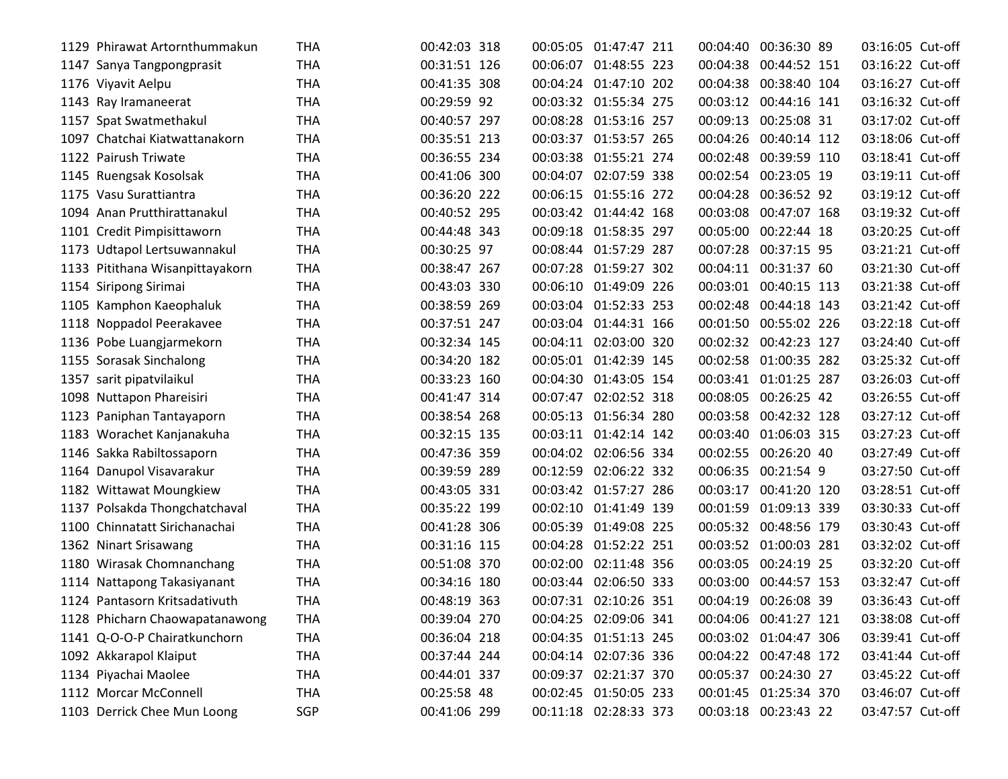| 1129 | Phirawat Artornthummakun        | <b>THA</b> | 00:42:03 318 | 00:05:05              | 01:47:47 211          | 00:04:40 | 00:36:30 89           | 03:16:05 Cut-off |  |
|------|---------------------------------|------------|--------------|-----------------------|-----------------------|----------|-----------------------|------------------|--|
|      | 1147 Sanya Tangpongprasit       | <b>THA</b> | 00:31:51 126 | 00:06:07 01:48:55 223 |                       |          | 00:04:38 00:44:52 151 | 03:16:22 Cut-off |  |
|      | 1176 Viyavit Aelpu              | <b>THA</b> | 00:41:35 308 | 00:04:24 01:47:10 202 |                       |          | 00:04:38 00:38:40 104 | 03:16:27 Cut-off |  |
|      | 1143 Ray Iramaneerat            | <b>THA</b> | 00:29:59 92  | 00:03:32 01:55:34 275 |                       |          | 00:03:12 00:44:16 141 | 03:16:32 Cut-off |  |
|      | 1157 Spat Swatmethakul          | <b>THA</b> | 00:40:57 297 | 00:08:28              | 01:53:16 257          |          | 00:09:13 00:25:08 31  | 03:17:02 Cut-off |  |
|      | 1097 Chatchai Kiatwattanakorn   | <b>THA</b> | 00:35:51 213 | 00:03:37 01:53:57 265 |                       |          | 00:04:26 00:40:14 112 | 03:18:06 Cut-off |  |
|      | 1122 Pairush Triwate            | <b>THA</b> | 00:36:55 234 | 00:03:38 01:55:21 274 |                       |          | 00:02:48 00:39:59 110 | 03:18:41 Cut-off |  |
|      | 1145 Ruengsak Kosolsak          | <b>THA</b> | 00:41:06 300 | 00:04:07 02:07:59 338 |                       |          | 00:02:54 00:23:05 19  | 03:19:11 Cut-off |  |
|      | 1175 Vasu Surattiantra          | <b>THA</b> | 00:36:20 222 | 00:06:15 01:55:16 272 |                       |          | 00:04:28 00:36:52 92  | 03:19:12 Cut-off |  |
|      | 1094 Anan Prutthirattanakul     | <b>THA</b> | 00:40:52 295 | 00:03:42 01:44:42 168 |                       | 00:03:08 | 00:47:07 168          | 03:19:32 Cut-off |  |
|      | 1101 Credit Pimpisittaworn      | <b>THA</b> | 00:44:48 343 | 00:09:18 01:58:35 297 |                       |          | 00:05:00 00:22:44 18  | 03:20:25 Cut-off |  |
|      | 1173 Udtapol Lertsuwannakul     | <b>THA</b> | 00:30:25 97  | 00:08:44 01:57:29 287 |                       | 00:07:28 | 00:37:15 95           | 03:21:21 Cut-off |  |
|      | 1133 Pitithana Wisanpittayakorn | <b>THA</b> | 00:38:47 267 | 00:07:28              | 01:59:27 302          |          | 00:04:11 00:31:37 60  | 03:21:30 Cut-off |  |
|      | 1154 Siripong Sirimai           | <b>THA</b> | 00:43:03 330 | 00:06:10              | 01:49:09 226          |          | 00:03:01 00:40:15 113 | 03:21:38 Cut-off |  |
|      | 1105 Kamphon Kaeophaluk         | <b>THA</b> | 00:38:59 269 | 00:03:04 01:52:33 253 |                       |          | 00:02:48 00:44:18 143 | 03:21:42 Cut-off |  |
|      | 1118 Noppadol Peerakavee        | <b>THA</b> | 00:37:51 247 | 00:03:04 01:44:31 166 |                       |          | 00:01:50 00:55:02 226 | 03:22:18 Cut-off |  |
|      | 1136 Pobe Luangjarmekorn        | <b>THA</b> | 00:32:34 145 | 00:04:11 02:03:00 320 |                       |          | 00:02:32 00:42:23 127 | 03:24:40 Cut-off |  |
|      | 1155 Sorasak Sinchalong         | <b>THA</b> | 00:34:20 182 | 00:05:01 01:42:39 145 |                       |          | 00:02:58 01:00:35 282 | 03:25:32 Cut-off |  |
|      | 1357 sarit pipatvilaikul        | <b>THA</b> | 00:33:23 160 | 00:04:30 01:43:05 154 |                       |          | 00:03:41 01:01:25 287 | 03:26:03 Cut-off |  |
|      | 1098 Nuttapon Phareisiri        | THA        | 00:41:47 314 | 00:07:47 02:02:52 318 |                       |          | 00:08:05 00:26:25 42  | 03:26:55 Cut-off |  |
|      | 1123 Paniphan Tantayaporn       | <b>THA</b> | 00:38:54 268 | 00:05:13 01:56:34 280 |                       |          | 00:03:58 00:42:32 128 | 03:27:12 Cut-off |  |
|      | 1183 Worachet Kanjanakuha       | <b>THA</b> | 00:32:15 135 | 00:03:11 01:42:14 142 |                       | 00:03:40 | 01:06:03 315          | 03:27:23 Cut-off |  |
|      | 1146 Sakka Rabiltossaporn       | <b>THA</b> | 00:47:36 359 | 00:04:02              | 02:06:56 334          |          | 00:02:55 00:26:20 40  | 03:27:49 Cut-off |  |
|      | 1164 Danupol Visavarakur        | <b>THA</b> | 00:39:59 289 | 00:12:59              | 02:06:22 332          |          | 00:06:35 00:21:54 9   | 03:27:50 Cut-off |  |
|      | 1182 Wittawat Moungkiew         | <b>THA</b> | 00:43:05 331 | 00:03:42 01:57:27 286 |                       | 00:03:17 | 00:41:20 120          | 03:28:51 Cut-off |  |
|      | 1137 Polsakda Thongchatchaval   | <b>THA</b> | 00:35:22 199 | 00:02:10 01:41:49 139 |                       |          | 00:01:59 01:09:13 339 | 03:30:33 Cut-off |  |
|      | 1100 Chinnatatt Sirichanachai   | <b>THA</b> | 00:41:28 306 | 00:05:39              | 01:49:08 225          |          | 00:05:32 00:48:56 179 | 03:30:43 Cut-off |  |
|      | 1362 Ninart Srisawang           | <b>THA</b> | 00:31:16 115 | 00:04:28              | 01:52:22 251          |          | 00:03:52 01:00:03 281 | 03:32:02 Cut-off |  |
|      | 1180 Wirasak Chomnanchang       | <b>THA</b> | 00:51:08 370 | 00:02:00              | 02:11:48 356          |          | 00:03:05 00:24:19 25  | 03:32:20 Cut-off |  |
|      | 1114 Nattapong Takasiyanant     | <b>THA</b> | 00:34:16 180 | 00:03:44              | 02:06:50 333          | 00:03:00 | 00:44:57 153          | 03:32:47 Cut-off |  |
|      | 1124 Pantasorn Kritsadativuth   | <b>THA</b> | 00:48:19 363 | 00:07:31 02:10:26 351 |                       |          | 00:04:19 00:26:08 39  | 03:36:43 Cut-off |  |
|      | 1128 Phicharn Chaowapatanawong  | <b>THA</b> | 00:39:04 270 | 00:04:25 02:09:06 341 |                       |          | 00:04:06 00:41:27 121 | 03:38:08 Cut-off |  |
|      | 1141 Q-O-O-P Chairatkunchorn    | <b>THA</b> | 00:36:04 218 | 00:04:35 01:51:13 245 |                       |          | 00:03:02 01:04:47 306 | 03:39:41 Cut-off |  |
|      | 1092 Akkarapol Klaiput          | THA        | 00:37:44 244 | 00:04:14 02:07:36 336 |                       |          | 00:04:22 00:47:48 172 | 03:41:44 Cut-off |  |
|      | 1134 Piyachai Maolee            | <b>THA</b> | 00:44:01 337 | 00:09:37 02:21:37 370 |                       |          | 00:05:37 00:24:30 27  | 03:45:22 Cut-off |  |
|      | 1112 Morcar McConnell           | <b>THA</b> | 00:25:58 48  | 00:02:45 01:50:05 233 |                       |          | 00:01:45 01:25:34 370 | 03:46:07 Cut-off |  |
|      | 1103 Derrick Chee Mun Loong     | SGP        | 00:41:06 299 |                       | 00:11:18 02:28:33 373 |          | 00:03:18 00:23:43 22  | 03:47:57 Cut-off |  |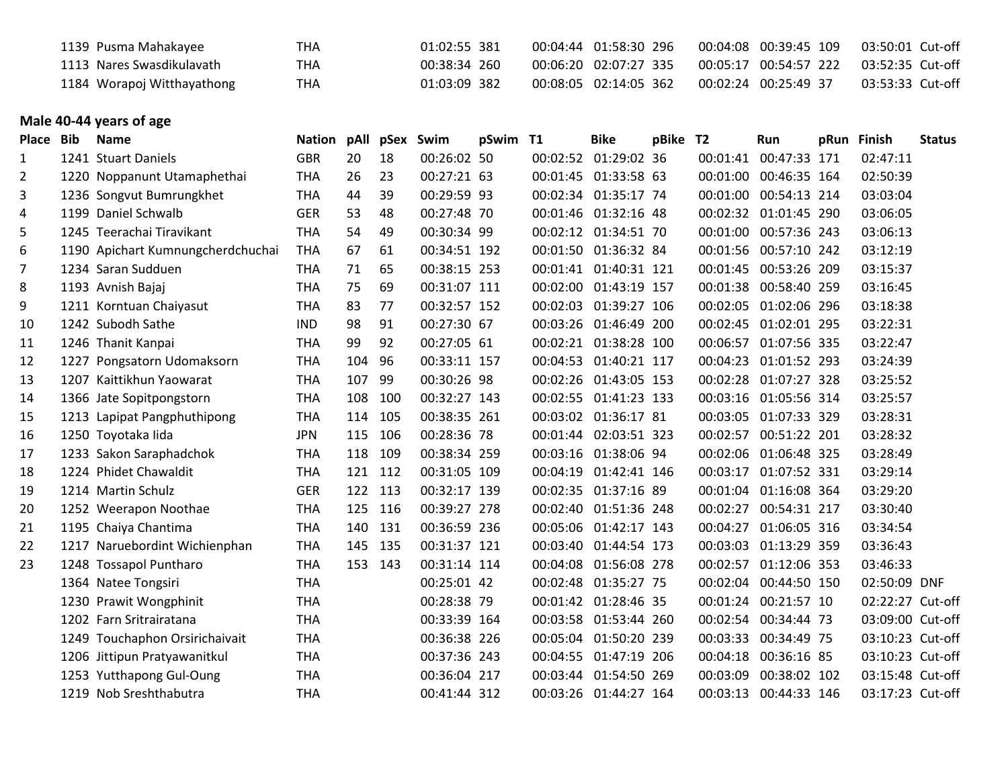| 1139 Pusma Mahakayee       | тна | $01:02:55$ 381 | 00:04:44 01:58:30 296   | 00:04:08 00:39:45 109                  | 03:50:01 Cut-off |
|----------------------------|-----|----------------|-------------------------|----------------------------------------|------------------|
| 1113 Nares Swasdikulavath  | THA | 00:38:34 260   | 00:06:20 02:07:27 335   | 00:05:17 00:54:57 222 03:52:35 Cut-off |                  |
| 1184 Worapoj Witthayathong | THA | $01:03:09$ 382 | 00:08:05  02:14:05  362 | 00:02:24 00:25:49 37                   | 03:53:33 Cut-off |

## **Male 40-44 years of age**

| Place          | <b>Bib</b> | <b>Name</b>                       | <b>Nation</b> | pAll |     | pSex Swim    | pSwim T1 | <b>Bike</b>           | pBike T2 |          | Run                   | pRun Finish      | <b>Status</b> |
|----------------|------------|-----------------------------------|---------------|------|-----|--------------|----------|-----------------------|----------|----------|-----------------------|------------------|---------------|
| $\mathbf{1}$   |            | 1241 Stuart Daniels               | <b>GBR</b>    | 20   | 18  | 00:26:02 50  |          | 00:02:52 01:29:02 36  |          |          | 00:01:41 00:47:33 171 | 02:47:11         |               |
| $\overline{2}$ |            | 1220 Noppanunt Utamaphethai       | <b>THA</b>    | 26   | 23  | 00:27:21 63  |          | 00:01:45 01:33:58 63  |          | 00:01:00 | 00:46:35 164          | 02:50:39         |               |
| 3              |            | 1236 Songvut Bumrungkhet          | <b>THA</b>    | 44   | 39  | 00:29:59 93  |          | 00:02:34 01:35:17 74  |          | 00:01:00 | 00:54:13 214          | 03:03:04         |               |
| 4              |            | 1199 Daniel Schwalb               | <b>GER</b>    | 53   | 48  | 00:27:48 70  |          | 00:01:46 01:32:16 48  |          | 00:02:32 | 01:01:45 290          | 03:06:05         |               |
| 5              |            | 1245 Teerachai Tiravikant         | <b>THA</b>    | 54   | 49  | 00:30:34 99  |          | 00:02:12 01:34:51 70  |          | 00:01:00 | 00:57:36 243          | 03:06:13         |               |
| 6              |            | 1190 Apichart Kumnungcherdchuchai | <b>THA</b>    | 67   | 61  | 00:34:51 192 |          | 00:01:50 01:36:32 84  |          |          | 00:01:56 00:57:10 242 | 03:12:19         |               |
| 7              |            | 1234 Saran Sudduen                | <b>THA</b>    | 71   | 65  | 00:38:15 253 |          | 00:01:41 01:40:31 121 |          |          | 00:01:45 00:53:26 209 | 03:15:37         |               |
| 8              |            | 1193 Avnish Bajaj                 | <b>THA</b>    | 75   | 69  | 00:31:07 111 |          | 00:02:00 01:43:19 157 |          | 00:01:38 | 00:58:40 259          | 03:16:45         |               |
| 9              |            | 1211 Korntuan Chaiyasut           | <b>THA</b>    | 83   | 77  | 00:32:57 152 |          | 00:02:03 01:39:27 106 |          |          | 00:02:05 01:02:06 296 | 03:18:38         |               |
| 10             |            | 1242 Subodh Sathe                 | <b>IND</b>    | 98   | 91  | 00:27:30 67  |          | 00:03:26 01:46:49 200 |          |          | 00:02:45 01:02:01 295 | 03:22:31         |               |
| 11             |            | 1246 Thanit Kanpai                | <b>THA</b>    | 99   | 92  | 00:27:05 61  |          | 00:02:21 01:38:28 100 |          | 00:06:57 | 01:07:56 335          | 03:22:47         |               |
| 12             |            | 1227 Pongsatorn Udomaksorn        | <b>THA</b>    | 104  | 96  | 00:33:11 157 |          | 00:04:53 01:40:21 117 |          |          | 00:04:23 01:01:52 293 | 03:24:39         |               |
| 13             |            | 1207 Kaittikhun Yaowarat          | <b>THA</b>    | 107  | 99  | 00:30:26 98  |          | 00:02:26 01:43:05 153 |          |          | 00:02:28 01:07:27 328 | 03:25:52         |               |
| 14             |            | 1366 Jate Sopitpongstorn          | <b>THA</b>    | 108  | 100 | 00:32:27 143 |          | 00:02:55 01:41:23 133 |          |          | 00:03:16 01:05:56 314 | 03:25:57         |               |
| 15             |            | 1213 Lapipat Pangphuthipong       | <b>THA</b>    | 114  | 105 | 00:38:35 261 |          | 00:03:02 01:36:17 81  |          |          | 00:03:05 01:07:33 329 | 03:28:31         |               |
| 16             |            | 1250 Toyotaka lida                | <b>JPN</b>    | 115  | 106 | 00:28:36 78  |          | 00:01:44 02:03:51 323 |          | 00:02:57 | 00:51:22 201          | 03:28:32         |               |
| 17             |            | 1233 Sakon Saraphadchok           | THA           | 118  | 109 | 00:38:34 259 |          | 00:03:16 01:38:06 94  |          | 00:02:06 | 01:06:48 325          | 03:28:49         |               |
| 18             |            | 1224 Phidet Chawaldit             | <b>THA</b>    | 121  | 112 | 00:31:05 109 |          | 00:04:19 01:42:41 146 |          | 00:03:17 | 01:07:52 331          | 03:29:14         |               |
| 19             |            | 1214 Martin Schulz                | <b>GER</b>    | 122  | 113 | 00:32:17 139 |          | 00:02:35 01:37:16 89  |          |          | 00:01:04 01:16:08 364 | 03:29:20         |               |
| 20             |            | 1252 Weerapon Noothae             | <b>THA</b>    | 125  | 116 | 00:39:27 278 |          | 00:02:40 01:51:36 248 |          | 00:02:27 | 00:54:31 217          | 03:30:40         |               |
| 21             |            | 1195 Chaiya Chantima              | <b>THA</b>    | 140  | 131 | 00:36:59 236 |          | 00:05:06 01:42:17 143 |          | 00:04:27 | 01:06:05 316          | 03:34:54         |               |
| 22             |            | 1217 Naruebordint Wichienphan     | <b>THA</b>    | 145  | 135 | 00:31:37 121 |          | 00:03:40 01:44:54 173 |          | 00:03:03 | 01:13:29 359          | 03:36:43         |               |
| 23             |            | 1248 Tossapol Puntharo            | <b>THA</b>    | 153  | 143 | 00:31:14 114 |          | 00:04:08 01:56:08 278 |          | 00:02:57 | 01:12:06 353          | 03:46:33         |               |
|                |            | 1364 Natee Tongsiri               | <b>THA</b>    |      |     | 00:25:01 42  |          | 00:02:48 01:35:27 75  |          |          | 00:02:04 00:44:50 150 | 02:50:09 DNF     |               |
|                |            | 1230 Prawit Wongphinit            | <b>THA</b>    |      |     | 00:28:38 79  |          | 00:01:42 01:28:46 35  |          |          | 00:01:24 00:21:57 10  | 02:22:27 Cut-off |               |
|                |            | 1202 Farn Sritrairatana           | <b>THA</b>    |      |     | 00:33:39 164 |          | 00:03:58 01:53:44 260 |          |          | 00:02:54 00:34:44 73  | 03:09:00 Cut-off |               |
|                |            | 1249 Touchaphon Orsirichaivait    | <b>THA</b>    |      |     | 00:36:38 226 |          | 00:05:04 01:50:20 239 |          | 00:03:33 | 00:34:49 75           | 03:10:23 Cut-off |               |
|                |            | 1206 Jittipun Pratyawanitkul      | <b>THA</b>    |      |     | 00:37:36 243 |          | 00:04:55 01:47:19 206 |          |          | 00:04:18 00:36:16 85  | 03:10:23 Cut-off |               |
|                |            | 1253 Yutthapong Gul-Oung          | <b>THA</b>    |      |     | 00:36:04 217 |          | 00:03:44 01:54:50 269 |          | 00:03:09 | 00:38:02 102          | 03:15:48 Cut-off |               |
|                |            | 1219 Nob Sreshthabutra            | <b>THA</b>    |      |     | 00:41:44 312 |          | 00:03:26 01:44:27 164 |          |          | 00:03:13 00:44:33 146 | 03:17:23 Cut-off |               |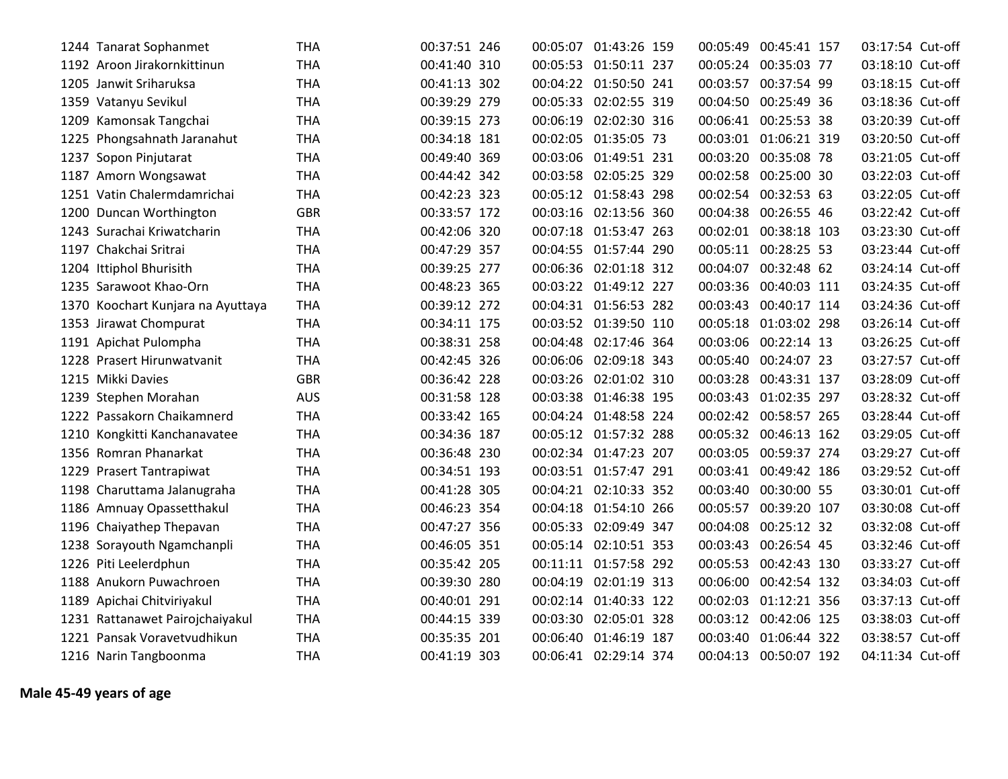| 1244 Tanarat Sophanmet            | THA        | 00:37:51 246 | 00:05:07 | 01:43:26 159          | 00:05:49 | 00:45:41 157          | 03:17:54 Cut-off |  |
|-----------------------------------|------------|--------------|----------|-----------------------|----------|-----------------------|------------------|--|
| 1192 Aroon Jirakornkittinun       | <b>THA</b> | 00:41:40 310 |          | 00:05:53 01:50:11 237 |          | 00:05:24 00:35:03 77  | 03:18:10 Cut-off |  |
| 1205 Janwit Sriharuksa            | <b>THA</b> | 00:41:13 302 |          | 00:04:22 01:50:50 241 |          | 00:03:57 00:37:54 99  | 03:18:15 Cut-off |  |
| 1359 Vatanyu Sevikul              | <b>THA</b> | 00:39:29 279 |          | 00:05:33 02:02:55 319 |          | 00:04:50 00:25:49 36  | 03:18:36 Cut-off |  |
| 1209 Kamonsak Tangchai            | <b>THA</b> | 00:39:15 273 |          | 00:06:19 02:02:30 316 |          | 00:06:41 00:25:53 38  | 03:20:39 Cut-off |  |
| 1225 Phongsahnath Jaranahut       | <b>THA</b> | 00:34:18 181 |          | 00:02:05 01:35:05 73  |          | 00:03:01 01:06:21 319 | 03:20:50 Cut-off |  |
| 1237 Sopon Pinjutarat             | <b>THA</b> | 00:49:40 369 |          | 00:03:06 01:49:51 231 |          | 00:03:20 00:35:08 78  | 03:21:05 Cut-off |  |
| 1187 Amorn Wongsawat              | <b>THA</b> | 00:44:42 342 |          | 00:03:58 02:05:25 329 |          | 00:02:58 00:25:00 30  | 03:22:03 Cut-off |  |
| 1251 Vatin Chalermdamrichai       | <b>THA</b> | 00:42:23 323 |          | 00:05:12 01:58:43 298 |          | 00:02:54 00:32:53 63  | 03:22:05 Cut-off |  |
| 1200 Duncan Worthington           | <b>GBR</b> | 00:33:57 172 |          | 00:03:16 02:13:56 360 |          | 00:04:38 00:26:55 46  | 03:22:42 Cut-off |  |
| 1243 Surachai Kriwatcharin        | <b>THA</b> | 00:42:06 320 |          | 00:07:18 01:53:47 263 |          | 00:02:01 00:38:18 103 | 03:23:30 Cut-off |  |
| 1197 Chakchai Sritrai             | <b>THA</b> | 00:47:29 357 |          | 00:04:55 01:57:44 290 |          | 00:05:11 00:28:25 53  | 03:23:44 Cut-off |  |
| 1204 Ittiphol Bhurisith           | <b>THA</b> | 00:39:25 277 |          | 00:06:36 02:01:18 312 |          | 00:04:07 00:32:48 62  | 03:24:14 Cut-off |  |
| 1235 Sarawoot Khao-Orn            | <b>THA</b> | 00:48:23 365 |          | 00:03:22 01:49:12 227 |          | 00:03:36 00:40:03 111 | 03:24:35 Cut-off |  |
| 1370 Koochart Kunjara na Ayuttaya | <b>THA</b> | 00:39:12 272 |          | 00:04:31 01:56:53 282 |          | 00:03:43 00:40:17 114 | 03:24:36 Cut-off |  |
| 1353 Jirawat Chompurat            | <b>THA</b> | 00:34:11 175 |          | 00:03:52 01:39:50 110 | 00:05:18 | 01:03:02 298          | 03:26:14 Cut-off |  |
| 1191 Apichat Pulompha             | <b>THA</b> | 00:38:31 258 |          | 00:04:48 02:17:46 364 |          | 00:03:06 00:22:14 13  | 03:26:25 Cut-off |  |
| 1228 Prasert Hirunwatvanit        | <b>THA</b> | 00:42:45 326 |          | 00:06:06 02:09:18 343 |          | 00:05:40 00:24:07 23  | 03:27:57 Cut-off |  |
| 1215 Mikki Davies                 | <b>GBR</b> | 00:36:42 228 |          | 00:03:26 02:01:02 310 | 00:03:28 | 00:43:31 137          | 03:28:09 Cut-off |  |
| 1239 Stephen Morahan              | <b>AUS</b> | 00:31:58 128 |          | 00:03:38 01:46:38 195 |          | 00:03:43 01:02:35 297 | 03:28:32 Cut-off |  |
| 1222 Passakorn Chaikamnerd        | <b>THA</b> | 00:33:42 165 |          | 00:04:24 01:48:58 224 |          | 00:02:42 00:58:57 265 | 03:28:44 Cut-off |  |
| 1210 Kongkitti Kanchanavatee      | <b>THA</b> | 00:34:36 187 |          | 00:05:12 01:57:32 288 |          | 00:05:32 00:46:13 162 | 03:29:05 Cut-off |  |
| 1356 Romran Phanarkat             | <b>THA</b> | 00:36:48 230 |          | 00:02:34 01:47:23 207 |          | 00:03:05 00:59:37 274 | 03:29:27 Cut-off |  |
| 1229 Prasert Tantrapiwat          | <b>THA</b> | 00:34:51 193 |          | 00:03:51 01:57:47 291 |          | 00:03:41 00:49:42 186 | 03:29:52 Cut-off |  |
| 1198 Charuttama Jalanugraha       | <b>THA</b> | 00:41:28 305 |          | 00:04:21 02:10:33 352 |          | 00:03:40 00:30:00 55  | 03:30:01 Cut-off |  |
| 1186 Amnuay Opassetthakul         | <b>THA</b> | 00:46:23 354 |          | 00:04:18 01:54:10 266 | 00:05:57 | 00:39:20 107          | 03:30:08 Cut-off |  |
| 1196 Chaiyathep Thepavan          | <b>THA</b> | 00:47:27 356 |          | 00:05:33 02:09:49 347 |          | 00:04:08 00:25:12 32  | 03:32:08 Cut-off |  |
| 1238 Sorayouth Ngamchanpli        | <b>THA</b> | 00:46:05 351 |          | 00:05:14 02:10:51 353 | 00:03:43 | 00:26:54 45           | 03:32:46 Cut-off |  |
| 1226 Piti Leelerdphun             | <b>THA</b> | 00:35:42 205 |          | 00:11:11 01:57:58 292 | 00:05:53 | 00:42:43 130          | 03:33:27 Cut-off |  |
| 1188 Anukorn Puwachroen           | <b>THA</b> | 00:39:30 280 | 00:04:19 | 02:01:19 313          | 00:06:00 | 00:42:54 132          | 03:34:03 Cut-off |  |
| 1189 Apichai Chitviriyakul        | <b>THA</b> | 00:40:01 291 |          | 00:02:14 01:40:33 122 | 00:02:03 | 01:12:21 356          | 03:37:13 Cut-off |  |
| 1231 Rattanawet Pairojchaiyakul   | <b>THA</b> | 00:44:15 339 |          | 00:03:30 02:05:01 328 |          | 00:03:12 00:42:06 125 | 03:38:03 Cut-off |  |
| 1221 Pansak Voravetvudhikun       | <b>THA</b> | 00:35:35 201 |          | 00:06:40 01:46:19 187 |          | 00:03:40 01:06:44 322 | 03:38:57 Cut-off |  |
| 1216 Narin Tangboonma             | <b>THA</b> | 00:41:19 303 |          | 00:06:41 02:29:14 374 | 00:04:13 | 00:50:07 192          | 04:11:34 Cut-off |  |

**Male 45-49 years of age**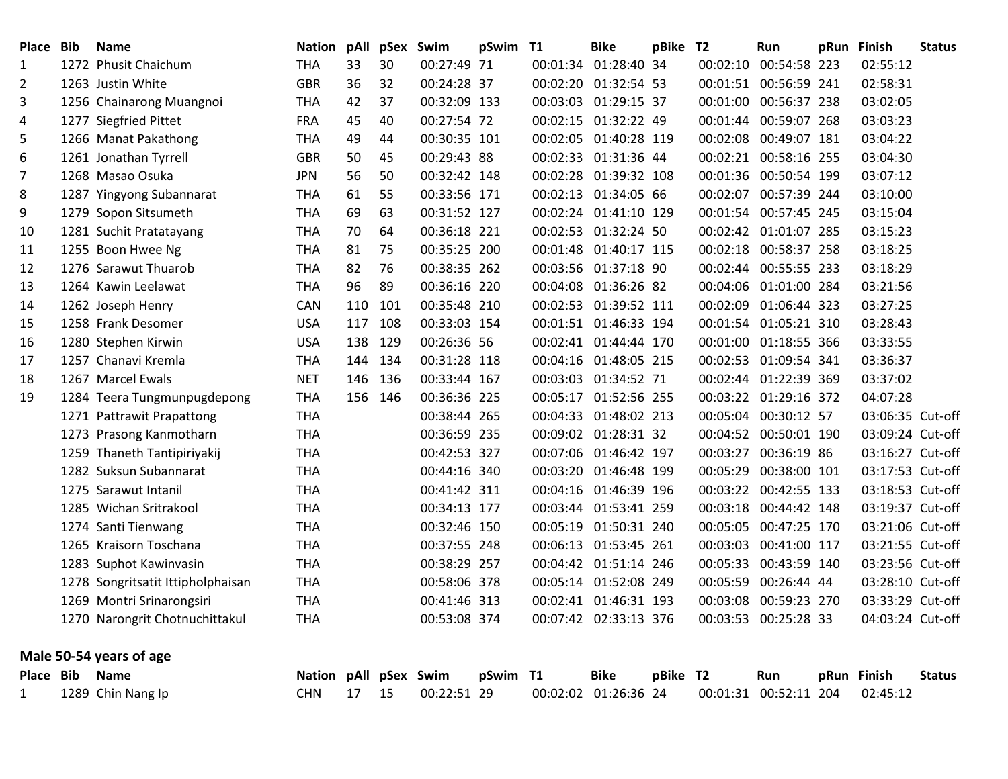| Place Bib      | <b>Name</b>                       | <b>Nation pAll</b>    |     | pSex Swim |              | pSwim T1 |          | <b>Bike</b>           | pBike T2 |          | Run                   | pRun Finish      | <b>Status</b> |
|----------------|-----------------------------------|-----------------------|-----|-----------|--------------|----------|----------|-----------------------|----------|----------|-----------------------|------------------|---------------|
| 1              | 1272 Phusit Chaichum              | THA                   | 33  | 30        | 00:27:49 71  |          | 00:01:34 | 01:28:40 34           |          |          | 00:02:10 00:54:58 223 | 02:55:12         |               |
| $\overline{2}$ | 1263 Justin White                 | <b>GBR</b>            | 36  | 32        | 00:24:28 37  |          |          | 00:02:20 01:32:54 53  |          |          | 00:01:51 00:56:59 241 | 02:58:31         |               |
| 3              | 1256 Chainarong Muangnoi          | <b>THA</b>            | 42  | 37        | 00:32:09 133 |          |          | 00:03:03 01:29:15 37  |          |          | 00:01:00 00:56:37 238 | 03:02:05         |               |
| 4              | 1277 Siegfried Pittet             | <b>FRA</b>            | 45  | 40        | 00:27:54 72  |          |          | 00:02:15 01:32:22 49  |          |          | 00:01:44 00:59:07 268 | 03:03:23         |               |
| 5              | 1266 Manat Pakathong              | THA                   | 49  | 44        | 00:30:35 101 |          |          | 00:02:05 01:40:28 119 |          |          | 00:02:08 00:49:07 181 | 03:04:22         |               |
| 6              | 1261 Jonathan Tyrrell             | <b>GBR</b>            | 50  | 45        | 00:29:43 88  |          |          | 00:02:33 01:31:36 44  |          |          | 00:02:21 00:58:16 255 | 03:04:30         |               |
| 7              | 1268 Masao Osuka                  | <b>JPN</b>            | 56  | 50        | 00:32:42 148 |          |          | 00:02:28 01:39:32 108 |          |          | 00:01:36 00:50:54 199 | 03:07:12         |               |
| 8              | 1287 Yingyong Subannarat          | THA                   | 61  | 55        | 00:33:56 171 |          |          | 00:02:13 01:34:05 66  |          |          | 00:02:07 00:57:39 244 | 03:10:00         |               |
| 9              | 1279 Sopon Sitsumeth              | <b>THA</b>            | 69  | 63        | 00:31:52 127 |          |          | 00:02:24 01:41:10 129 |          |          | 00:01:54 00:57:45 245 | 03:15:04         |               |
| 10             | 1281 Suchit Pratatayang           | <b>THA</b>            | 70  | 64        | 00:36:18 221 |          |          | 00:02:53 01:32:24 50  |          |          | 00:02:42 01:01:07 285 | 03:15:23         |               |
| 11             | 1255 Boon Hwee Ng                 | <b>THA</b>            | 81  | 75        | 00:35:25 200 |          |          | 00:01:48 01:40:17 115 |          |          | 00:02:18 00:58:37 258 | 03:18:25         |               |
| 12             | 1276 Sarawut Thuarob              | <b>THA</b>            | 82  | 76        | 00:38:35 262 |          |          | 00:03:56 01:37:18 90  |          |          | 00:02:44 00:55:55 233 | 03:18:29         |               |
| 13             | 1264 Kawin Leelawat               | <b>THA</b>            | 96  | 89        | 00:36:16 220 |          |          | 00:04:08 01:36:26 82  |          |          | 00:04:06 01:01:00 284 | 03:21:56         |               |
| 14             | 1262 Joseph Henry                 | CAN                   | 110 | 101       | 00:35:48 210 |          |          | 00:02:53 01:39:52 111 |          | 00:02:09 | 01:06:44 323          | 03:27:25         |               |
| 15             | 1258 Frank Desomer                | <b>USA</b>            | 117 | 108       | 00:33:03 154 |          |          | 00:01:51 01:46:33 194 |          |          | 00:01:54 01:05:21 310 | 03:28:43         |               |
| 16             | 1280 Stephen Kirwin               | <b>USA</b>            | 138 | 129       | 00:26:36 56  |          |          | 00:02:41 01:44:44 170 |          |          | 00:01:00 01:18:55 366 | 03:33:55         |               |
| 17             | 1257 Chanavi Kremla               | <b>THA</b>            | 144 | 134       | 00:31:28 118 |          |          | 00:04:16 01:48:05 215 |          |          | 00:02:53 01:09:54 341 | 03:36:37         |               |
| 18             | 1267 Marcel Ewals                 | <b>NET</b>            | 146 | 136       | 00:33:44 167 |          |          | 00:03:03 01:34:52 71  |          |          | 00:02:44 01:22:39 369 | 03:37:02         |               |
| 19             | 1284 Teera Tungmunpugdepong       | <b>THA</b>            | 156 | 146       | 00:36:36 225 |          |          | 00:05:17 01:52:56 255 |          |          | 00:03:22 01:29:16 372 | 04:07:28         |               |
|                | 1271 Pattrawit Prapattong         | <b>THA</b>            |     |           | 00:38:44 265 |          |          | 00:04:33 01:48:02 213 |          |          | 00:05:04 00:30:12 57  | 03:06:35 Cut-off |               |
|                | 1273 Prasong Kanmotharn           | <b>THA</b>            |     |           | 00:36:59 235 |          |          | 00:09:02 01:28:31 32  |          |          | 00:04:52 00:50:01 190 | 03:09:24 Cut-off |               |
|                | 1259 Thaneth Tantipiriyakij       | <b>THA</b>            |     |           | 00:42:53 327 |          |          | 00:07:06 01:46:42 197 |          |          | 00:03:27 00:36:19 86  | 03:16:27 Cut-off |               |
|                | 1282 Suksun Subannarat            | <b>THA</b>            |     |           | 00:44:16 340 |          |          | 00:03:20 01:46:48 199 |          | 00:05:29 | 00:38:00 101          | 03:17:53 Cut-off |               |
|                | 1275 Sarawut Intanil              | <b>THA</b>            |     |           | 00:41:42 311 |          |          | 00:04:16 01:46:39 196 |          |          | 00:03:22 00:42:55 133 | 03:18:53 Cut-off |               |
|                | 1285 Wichan Sritrakool            | <b>THA</b>            |     |           | 00:34:13 177 |          |          | 00:03:44 01:53:41 259 |          |          | 00:03:18 00:44:42 148 | 03:19:37 Cut-off |               |
|                | 1274 Santi Tienwang               | <b>THA</b>            |     |           | 00:32:46 150 |          |          | 00:05:19 01:50:31 240 |          |          | 00:05:05 00:47:25 170 | 03:21:06 Cut-off |               |
|                | 1265 Kraisorn Toschana            | <b>THA</b>            |     |           | 00:37:55 248 |          |          | 00:06:13 01:53:45 261 |          |          | 00:03:03 00:41:00 117 | 03:21:55 Cut-off |               |
|                | 1283 Suphot Kawinvasin            | <b>THA</b>            |     |           | 00:38:29 257 |          |          | 00:04:42 01:51:14 246 |          |          | 00:05:33 00:43:59 140 | 03:23:56 Cut-off |               |
|                | 1278 Songritsatit Ittipholphaisan | <b>THA</b>            |     |           | 00:58:06 378 |          |          | 00:05:14 01:52:08 249 |          |          | 00:05:59 00:26:44 44  | 03:28:10 Cut-off |               |
|                | 1269 Montri Srinarongsiri         | <b>THA</b>            |     |           | 00:41:46 313 |          |          | 00:02:41 01:46:31 193 |          |          | 00:03:08 00:59:23 270 | 03:33:29 Cut-off |               |
|                | 1270 Narongrit Chotnuchittakul    | <b>THA</b>            |     |           | 00:53:08 374 |          |          | 00:07:42 02:33:13 376 |          |          | 00:03:53 00:25:28 33  | 04:03:24 Cut-off |               |
|                | Male 50-54 years of age           |                       |     |           |              |          |          |                       |          |          |                       |                  |               |
| Place Bib      | <b>Name</b>                       | Nation pAll pSex Swim |     |           |              | pSwim T1 |          | <b>Bike</b>           | pBike T2 |          | Run                   | pRun Finish      | <b>Status</b> |
| 1              | 1289 Chin Nang Ip                 | <b>CHN</b>            | 17  | 15        | 00:22:51 29  |          |          | 00:02:02 01:26:36 24  |          |          | 00:01:31 00:52:11 204 | 02:45:12         |               |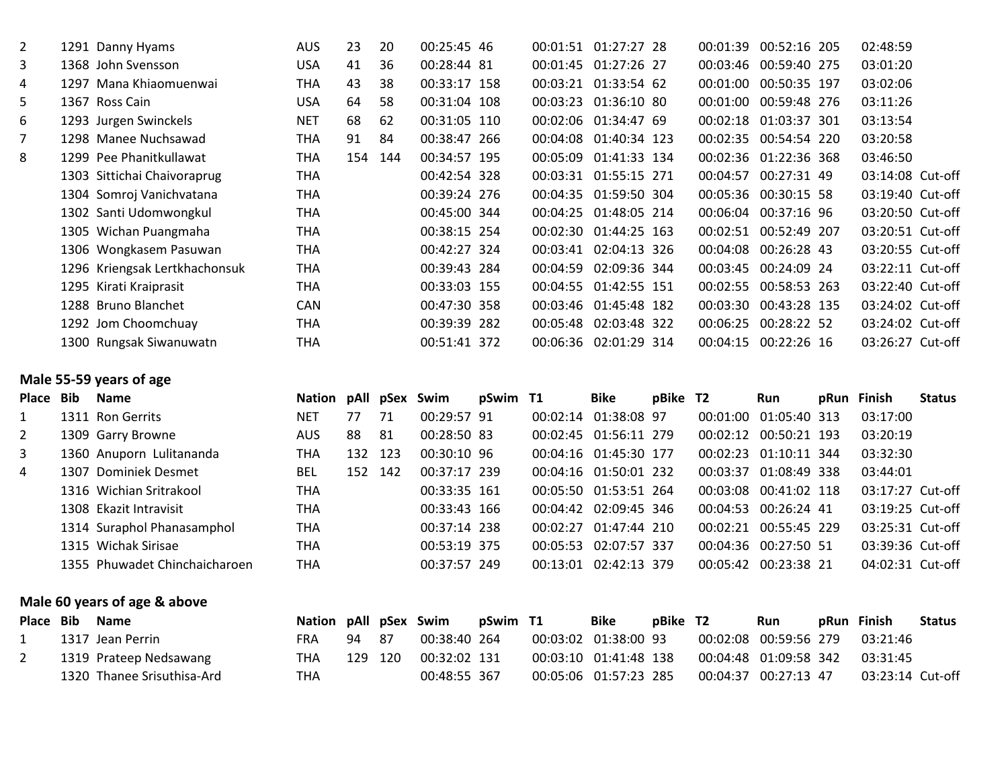| $\overline{2}$ | 1291 Danny Hyams              | <b>AUS</b> | 23  | 20  | 00:25:45 46  |  | 00:01:51 01:27:27 28  | 00:01:39 | 00:52:16 205          | 02:48:59         |
|----------------|-------------------------------|------------|-----|-----|--------------|--|-----------------------|----------|-----------------------|------------------|
| 3              | 1368 John Svensson            | <b>USA</b> | 41  | 36  | 00:28:44 81  |  | 00:01:45 01:27:26 27  | 00:03:46 | 00:59:40 275          | 03:01:20         |
| 4              | 1297 Mana Khiaomuenwai        | THA        | 43  | 38  | 00:33:17 158 |  | 00:03:21 01:33:54 62  | 00:01:00 | 00:50:35 197          | 03:02:06         |
| 5              | 1367 Ross Cain                | <b>USA</b> | 64  | 58  | 00:31:04 108 |  | 00:03:23 01:36:10 80  | 00:01:00 | 00:59:48 276          | 03:11:26         |
| 6              | 1293 Jurgen Swinckels         | <b>NET</b> | 68  | 62  | 00:31:05 110 |  | 00:02:06 01:34:47 69  |          | 00:02:18 01:03:37 301 | 03:13:54         |
| 7              | 1298 Manee Nuchsawad          | THA        | 91  | 84  | 00:38:47 266 |  | 00:04:08 01:40:34 123 | 00:02:35 | 00:54:54 220          | 03:20:58         |
| 8              | 1299 Pee Phanitkullawat       | THA        | 154 | 144 | 00:34:57 195 |  | 00:05:09 01:41:33 134 |          | 00:02:36 01:22:36 368 | 03:46:50         |
|                | 1303 Sittichai Chaivoraprug   | THA        |     |     | 00:42:54 328 |  | 00:03:31 01:55:15 271 | 00:04:57 | 00:27:31 49           | 03:14:08 Cut-off |
|                | 1304 Somroj Vanichvatana      | THA        |     |     | 00:39:24 276 |  | 00:04:35 01:59:50 304 |          | 00:05:36 00:30:15 58  | 03:19:40 Cut-off |
|                | 1302 Santi Udomwongkul        | THA        |     |     | 00:45:00 344 |  | 00:04:25 01:48:05 214 | 00:06:04 | 00:37:16 96           | 03:20:50 Cut-off |
|                | 1305 Wichan Puangmaha         | THA        |     |     | 00:38:15 254 |  | 00:02:30 01:44:25 163 | 00:02:51 | 00:52:49 207          | 03:20:51 Cut-off |
|                | 1306 Wongkasem Pasuwan        | <b>THA</b> |     |     | 00:42:27 324 |  | 00:03:41 02:04:13 326 | 00:04:08 | 00:26:28 43           | 03:20:55 Cut-off |
|                | 1296 Kriengsak Lertkhachonsuk | <b>THA</b> |     |     | 00:39:43 284 |  | 00:04:59 02:09:36 344 |          | 00:03:45 00:24:09 24  | 03:22:11 Cut-off |
|                | 1295 Kirati Kraiprasit        | THA        |     |     | 00:33:03 155 |  | 00:04:55 01:42:55 151 |          | 00:02:55 00:58:53 263 | 03:22:40 Cut-off |
|                | 1288 Bruno Blanchet           | <b>CAN</b> |     |     | 00:47:30 358 |  | 00:03:46 01:45:48 182 | 00:03:30 | 00:43:28 135          | 03:24:02 Cut-off |
|                | 1292 Jom Choomchuay           | THA        |     |     | 00:39:39 282 |  | 00:05:48 02:03:48 322 | 00:06:25 | 00:28:22 52           | 03:24:02 Cut-off |
|                | 1300 Rungsak Siwanuwatn       | THA        |     |     | 00:51:41 372 |  | 00:06:36 02:01:29 314 | 00:04:15 | 00:22:26 16           | 03:26:27 Cut-off |

## **Male 55-59 years of age**

| Place Bib      | <b>Name</b>                   | Nation pAll pSex Swim |     |     |               | pSwim T1 | Bike                  | pBike T2 |          | Run                   | pRun Finish      | <b>Status</b> |
|----------------|-------------------------------|-----------------------|-----|-----|---------------|----------|-----------------------|----------|----------|-----------------------|------------------|---------------|
|                | 1311 Ron Gerrits              | NET                   | 77  | 71  | 00:29:57 91   |          | 00:02:14 01:38:08 97  |          | 00:01:00 | 01:05:40 313          | 03:17:00         |               |
| 2              | 1309 Garry Browne             | AUS.                  | 88  | 81  | 00:28:50 83   |          | 00:02:45 01:56:11 279 |          | 00:02:12 | 00:50:21 193          | 03:20:19         |               |
| 3              | 1360 Anuporn Lulitananda      | THA                   | 132 | 123 | $00:30:10$ 96 |          | 00:04:16 01:45:30 177 |          |          | 00:02:23 01:10:11 344 | 03:32:30         |               |
| $\overline{4}$ | 1307 Dominiek Desmet          | <b>BEL</b>            | 152 | 142 | 00:37:17 239  |          | 00:04:16 01:50:01 232 |          | 00:03:37 | 01:08:49 338          | 03:44:01         |               |
|                | 1316 Wichian Sritrakool       | THA                   |     |     | 00:33:35 161  |          | 00:05:50 01:53:51 264 |          | 00:03:08 | 00:41:02 118          | 03:17:27 Cut-off |               |
|                | 1308 Ekazit Intravisit        | THA                   |     |     | 00:33:43 166  |          | 00:04:42 02:09:45 346 |          | 00:04:53 | 00:26:24 41           | 03:19:25 Cut-off |               |
|                | 1314 Suraphol Phanasamphol    | THA                   |     |     | 00:37:14 238  |          | 00:02:27 01:47:44 210 |          |          | 00:02:21 00:55:45 229 | 03:25:31 Cut-off |               |
|                | 1315 Wichak Sirisae           | THA                   |     |     | 00:53:19 375  |          | 00:05:53 02:07:57 337 |          | 00:04:36 | 00:27:50 51           | 03:39:36 Cut-off |               |
|                | 1355 Phuwadet Chinchaicharoen | THA                   |     |     | 00:37:57 249  |          | 00:13:01 02:42:13 379 |          | 00:05:42 | 00:23:38 21           | 04:02:31 Cut-off |               |

## **Male 60 years of age & above**

| Place Bib | <b>Name</b>                | Nation pAll pSex Swim |       |     |              | pSwim T1 | <b>Bike</b>           | pBike T2 |                       | Run                  | pRun Finish      | <b>Status</b> |
|-----------|----------------------------|-----------------------|-------|-----|--------------|----------|-----------------------|----------|-----------------------|----------------------|------------------|---------------|
|           | 1317 Jean Perrin           | FRA                   | 94 87 |     | 00:38:40 264 |          | 00:03:02 01:38:00 93  |          | 00:02:08 00:59:56 279 |                      | 03:21:46         |               |
|           | 1319 Prateep Nedsawang     | THA                   | 129   | 120 | 00:32:02 131 |          | 00:03:10 01:41:48 138 |          |                       |                      | 03:31:45         |               |
|           | 1320 Thanee Srisuthisa-Ard | THA                   |       |     | 00:48:55 367 |          |                       |          |                       | 00:04:37 00:27:13 47 | 03:23:14 Cut-off |               |